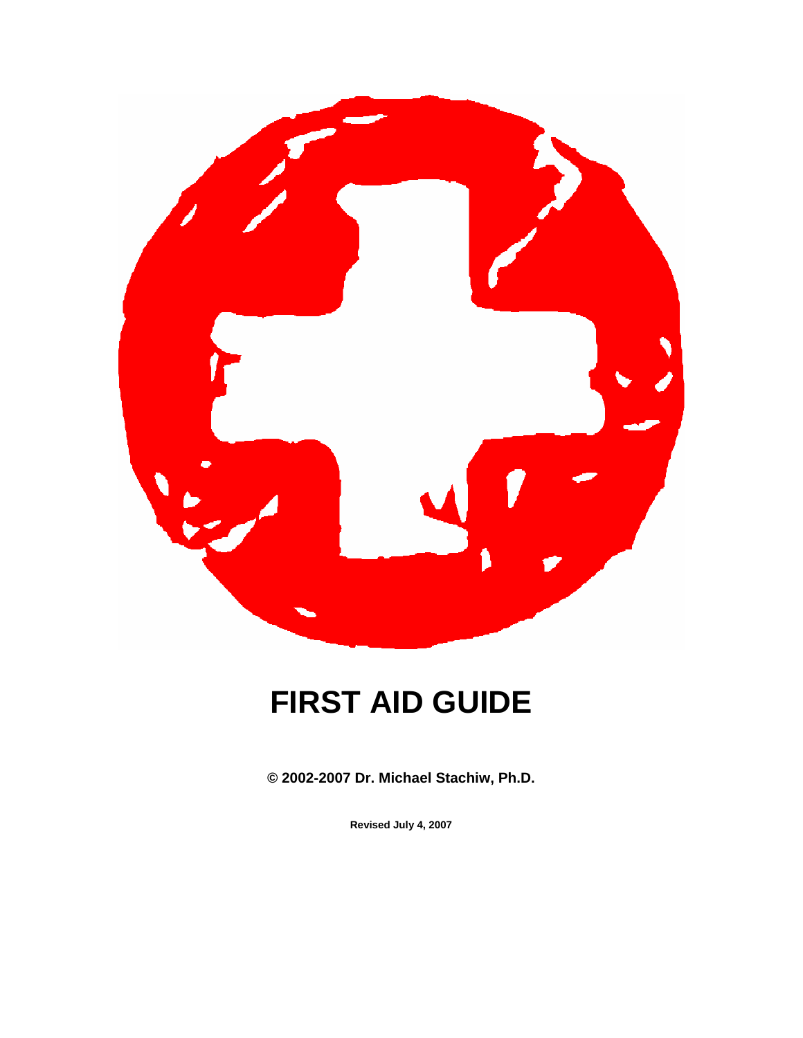

# **FIRST AID GUIDE**

**© 2002-2007 Dr. Michael Stachiw, Ph.D.** 

**Revised July 4, 2007**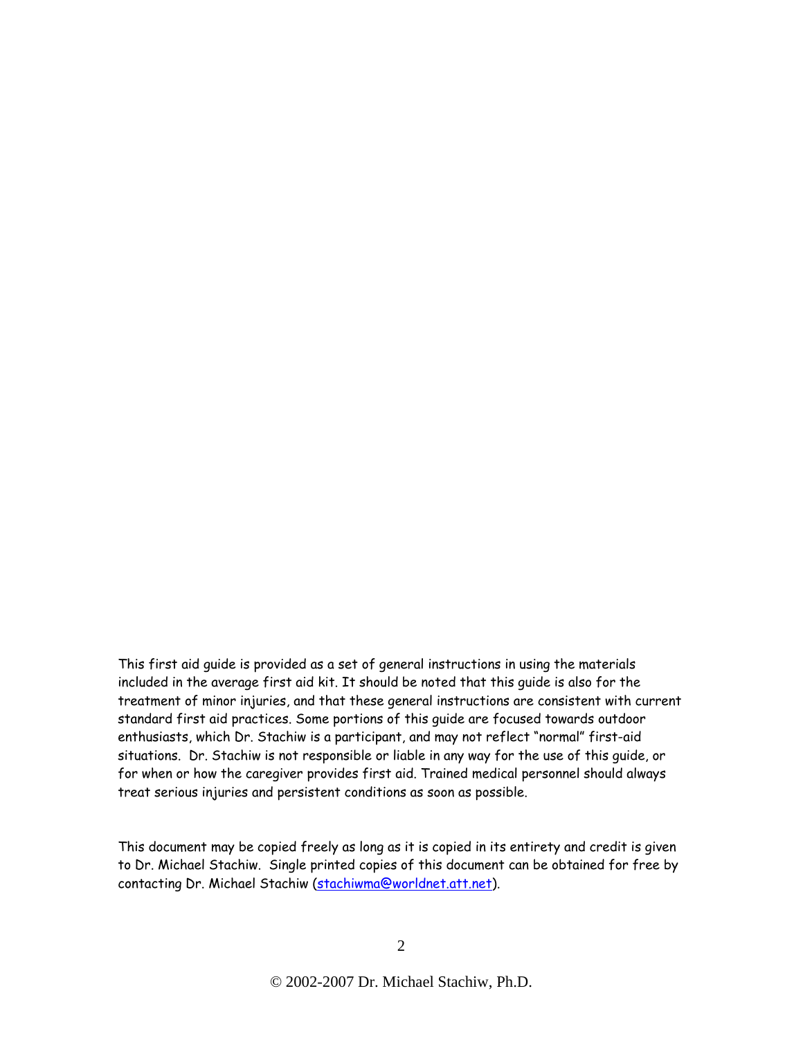This first aid guide is provided as a set of general instructions in using the materials included in the average first aid kit. It should be noted that this guide is also for the treatment of minor injuries, and that these general instructions are consistent with current standard first aid practices. Some portions of this guide are focused towards outdoor enthusiasts, which Dr. Stachiw is a participant, and may not reflect "normal" first-aid situations. Dr. Stachiw is not responsible or liable in any way for the use of this guide, or for when or how the caregiver provides first aid. Trained medical personnel should always treat serious injuries and persistent conditions as soon as possible.

This document may be copied freely as long as it is copied in its entirety and credit is given to Dr. Michael Stachiw. Single printed copies of this document can be obtained for free by contacting Dr. Michael Stachiw (stachiwma@worldnet.att.net).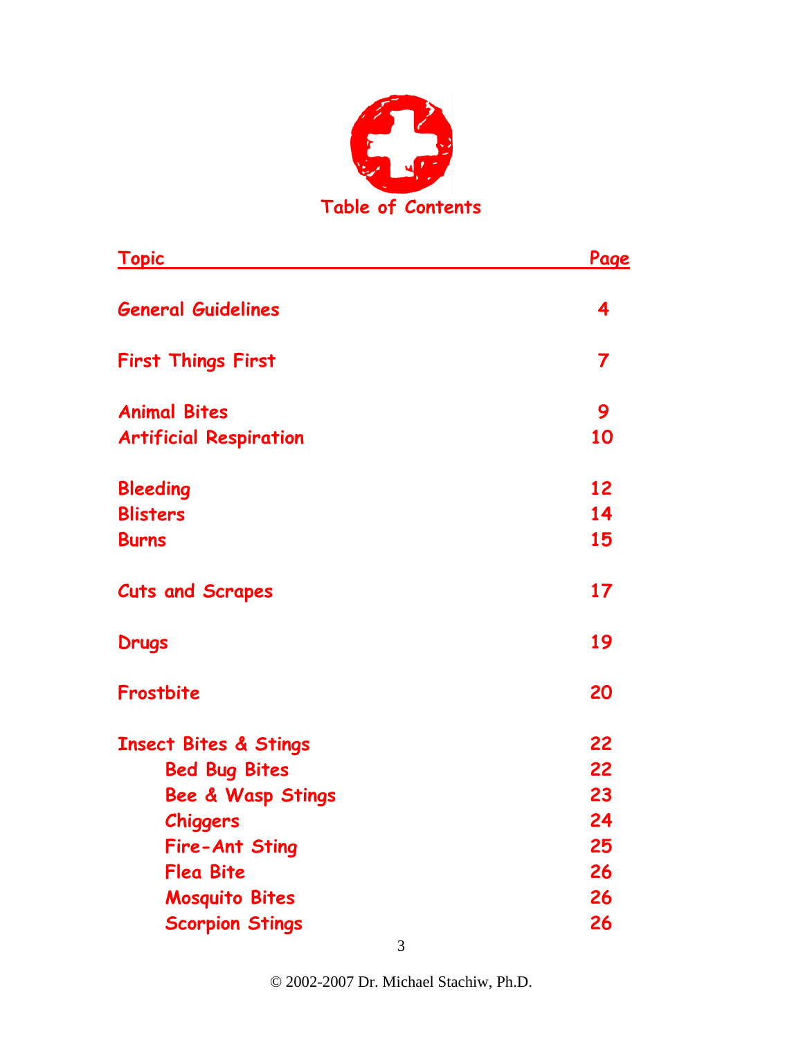

| <u>Topic</u>                     | <u>Page</u>             |
|----------------------------------|-------------------------|
| <b>General Guidelines</b>        | 4                       |
| <b>First Things First</b>        | $\overline{\mathbf{7}}$ |
| <b>Animal Bites</b>              | 9                       |
| <b>Artificial Respiration</b>    | 10                      |
| <b>Bleeding</b>                  | 12                      |
| <b>Blisters</b>                  | 14                      |
| <b>Burns</b>                     | 15                      |
| <b>Cuts and Scrapes</b>          | 17                      |
| <b>Drugs</b>                     | 19                      |
| Frostbite                        | 20                      |
| <b>Insect Bites &amp; Stings</b> | 22                      |
| <b>Bed Bug Bites</b>             | 22                      |
| <b>Bee &amp; Wasp Stings</b>     | 23                      |
| <b>Chiggers</b>                  | 24                      |
| <b>Fire-Ant Sting</b>            | 25                      |
| <b>Flea Bite</b>                 | 26                      |
| <b>Mosquito Bites</b>            | 26                      |
| <b>Scorpion Stings</b>           | 26                      |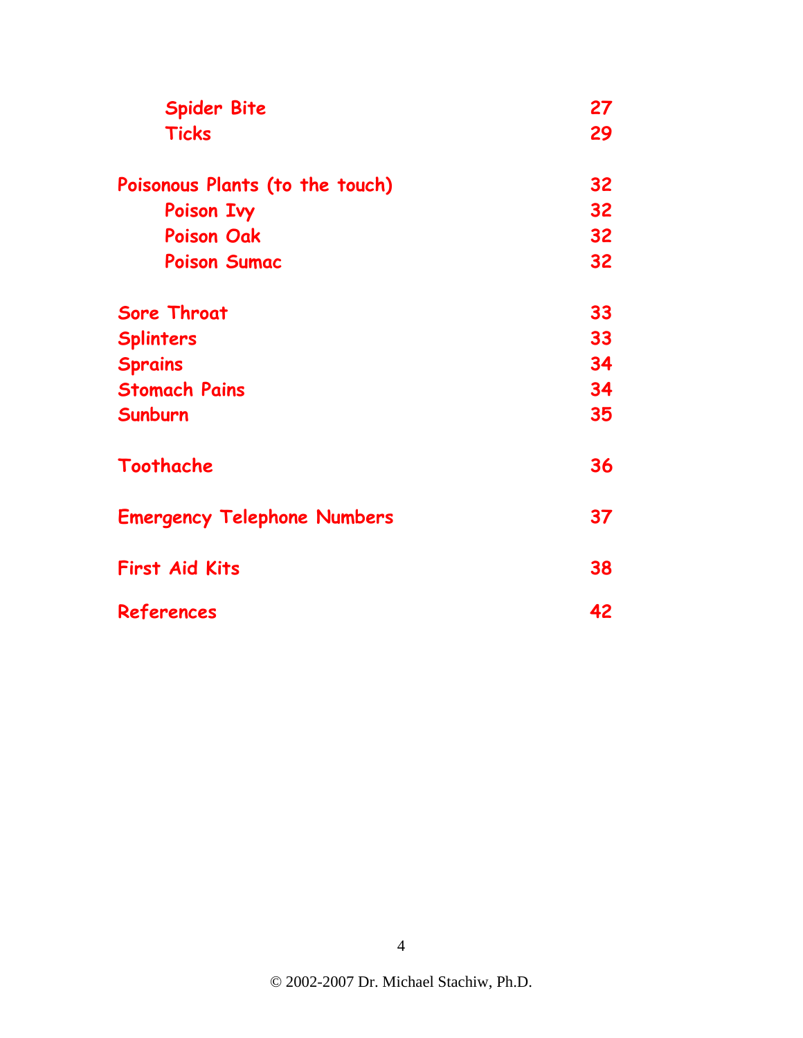| <b>Spider Bite</b><br><b>Ticks</b> | 27<br>29 |
|------------------------------------|----------|
|                                    |          |
| Poison Ivy                         | 32       |
| <b>Poison Oak</b>                  | 32       |
| <b>Poison Sumac</b>                | 32       |
| <b>Sore Throat</b>                 | 33       |
| <b>Splinters</b>                   | 33       |
| <b>Sprains</b>                     | 34       |
| <b>Stomach Pains</b>               | 34       |
| Sunburn                            | 35       |
| Toothache                          | 36       |
| <b>Emergency Telephone Numbers</b> | 37       |
| <b>First Aid Kits</b>              | 38       |
| References                         | 42       |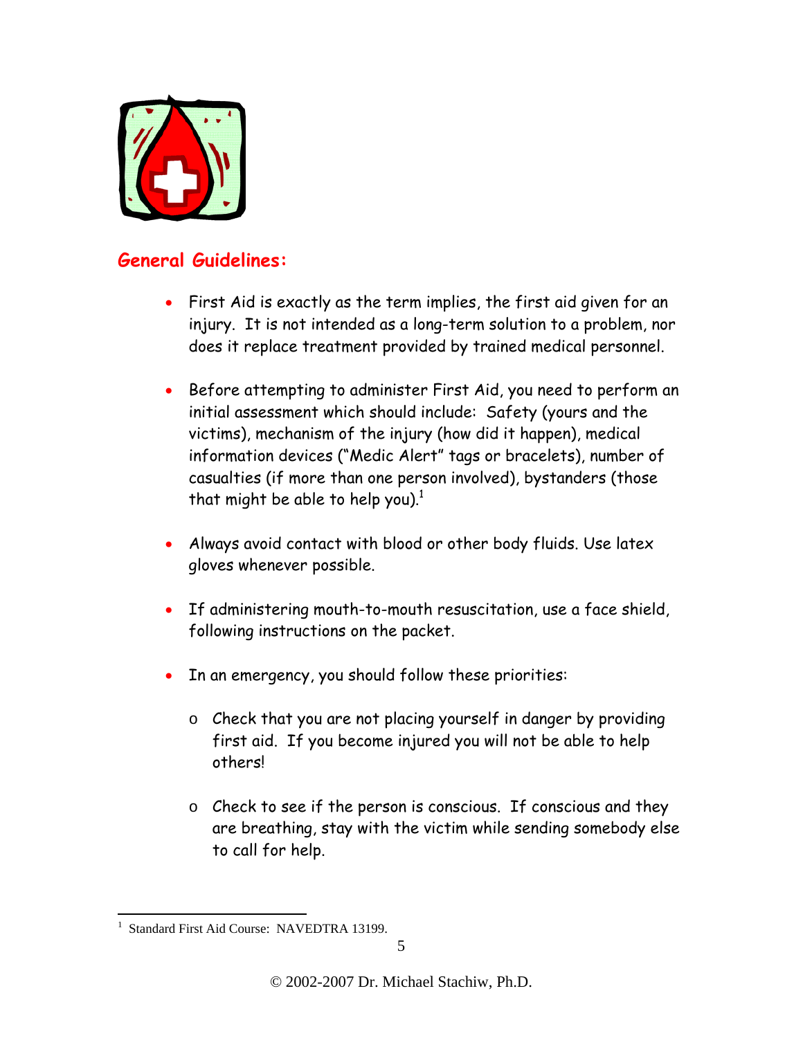

# **General Guidelines:**

- First Aid is exactly as the term implies, the first aid given for an injury. It is not intended as a long-term solution to a problem, nor does it replace treatment provided by trained medical personnel.
- Before attempting to administer First Aid, you need to perform an initial assessment which should include: Safety (yours and the victims), mechanism of the injury (how did it happen), medical information devices ("Medic Alert" tags or bracelets), number of casualties (if more than one person involved), bystanders (those that might be able to help you).<sup>1</sup>
- Always avoid contact with blood or other body fluids. Use latex gloves whenever possible.
- If administering mouth-to-mouth resuscitation, use a face shield, following instructions on the packet.
- In an emergency, you should follow these priorities:
	- o Check that you are not placing yourself in danger by providing first aid. If you become injured you will not be able to help others!
	- o Check to see if the person is conscious. If conscious and they are breathing, stay with the victim while sending somebody else to call for help.

 $\overline{a}$ 1 Standard First Aid Course: NAVEDTRA 13199.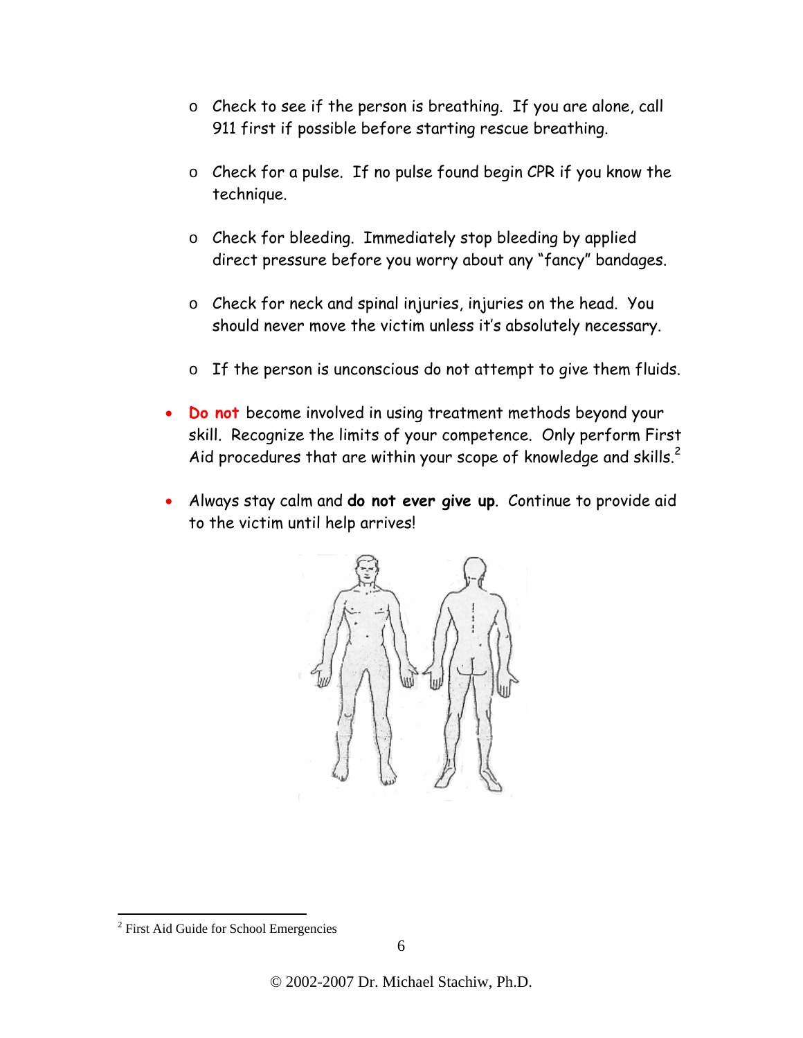- o Check to see if the person is breathing. If you are alone, call 911 first if possible before starting rescue breathing.
- o Check for a pulse. If no pulse found begin CPR if you know the technique.
- o Check for bleeding. Immediately stop bleeding by applied direct pressure before you worry about any "fancy" bandages.
- o Check for neck and spinal injuries, injuries on the head. You should never move the victim unless it's absolutely necessary.
- o If the person is unconscious do not attempt to give them fluids.
- **Do not** become involved in using treatment methods beyond your skill. Recognize the limits of your competence. Only perform First Aid procedures that are within your scope of knowledge and skills.<sup>2</sup>
- Always stay calm and **do not ever give up**. Continue to provide aid to the victim until help arrives!



 $\overline{a}$ 

<sup>&</sup>lt;sup>2</sup> First Aid Guide for School Emergencies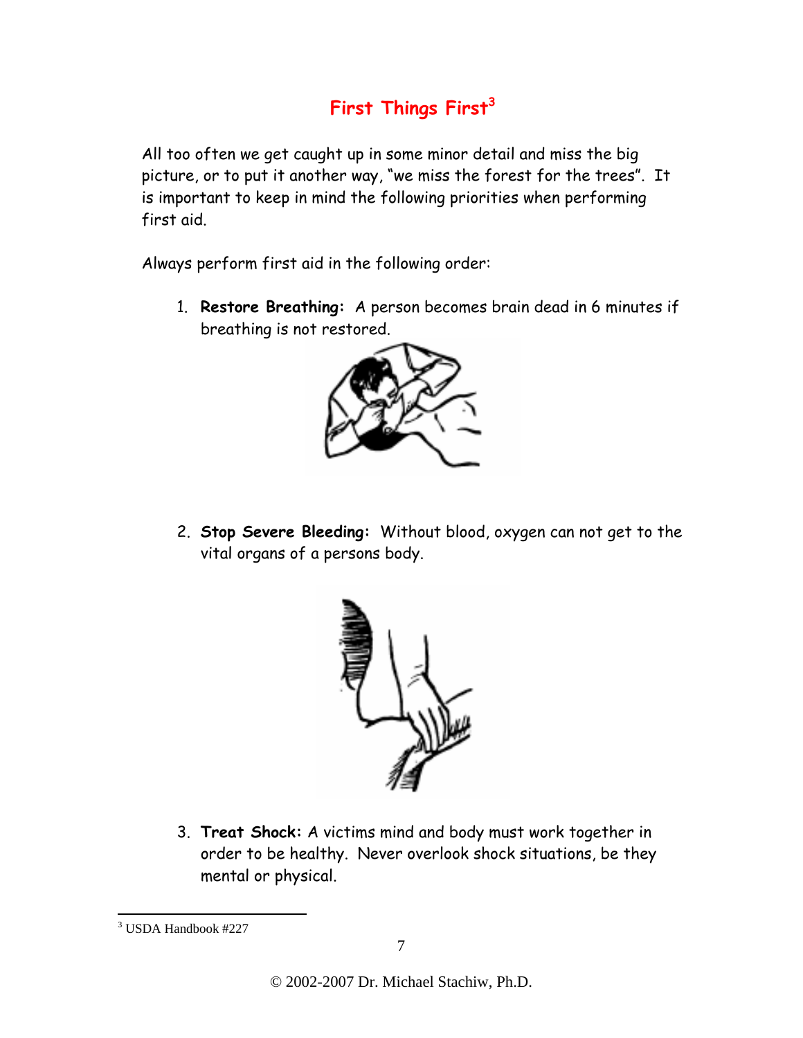# **First Things First<sup>3</sup>**

All too often we get caught up in some minor detail and miss the big picture, or to put it another way, "we miss the forest for the trees". It is important to keep in mind the following priorities when performing first aid.

Always perform first aid in the following order:

1. **Restore Breathing:** A person becomes brain dead in 6 minutes if breathing is not restored.



2. **Stop Severe Bleeding:** Without blood, oxygen can not get to the vital organs of a persons body.



3. **Treat Shock:** A victims mind and body must work together in order to be healthy. Never overlook shock situations, be they mental or physical.

<sup>1</sup> 3 USDA Handbook #227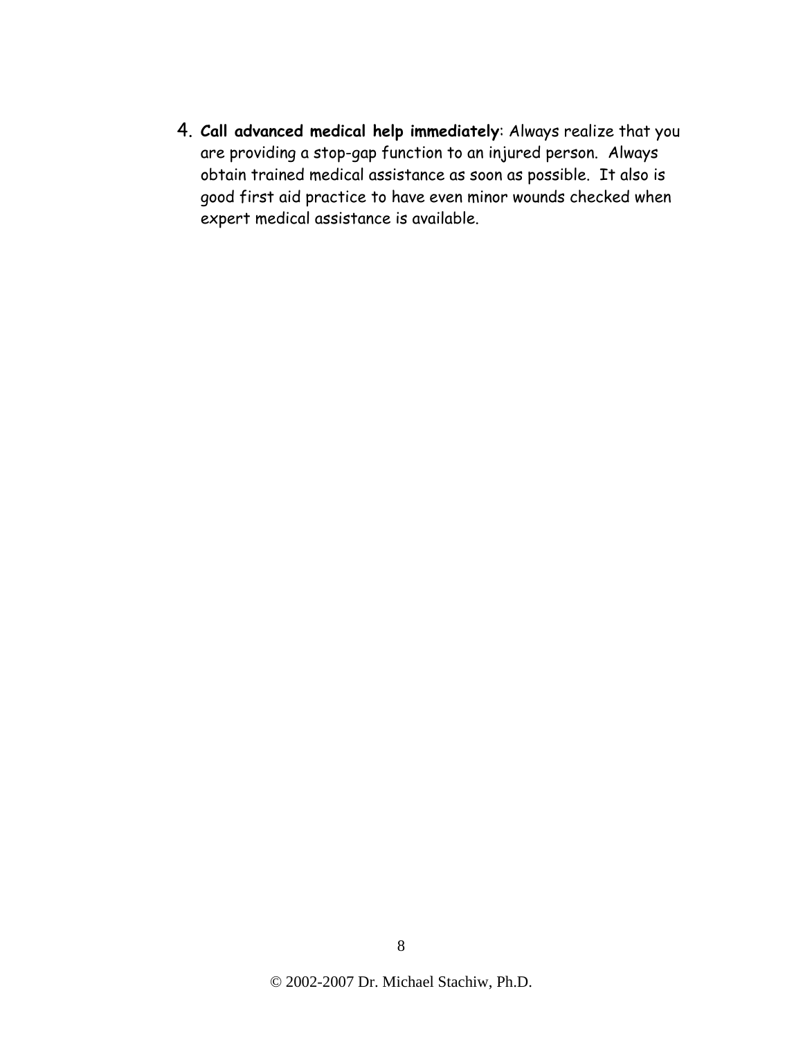4. **Call advanced medical help immediately**: Always realize that you are providing a stop-gap function to an injured person. Always obtain trained medical assistance as soon as possible. It also is good first aid practice to have even minor wounds checked when expert medical assistance is available.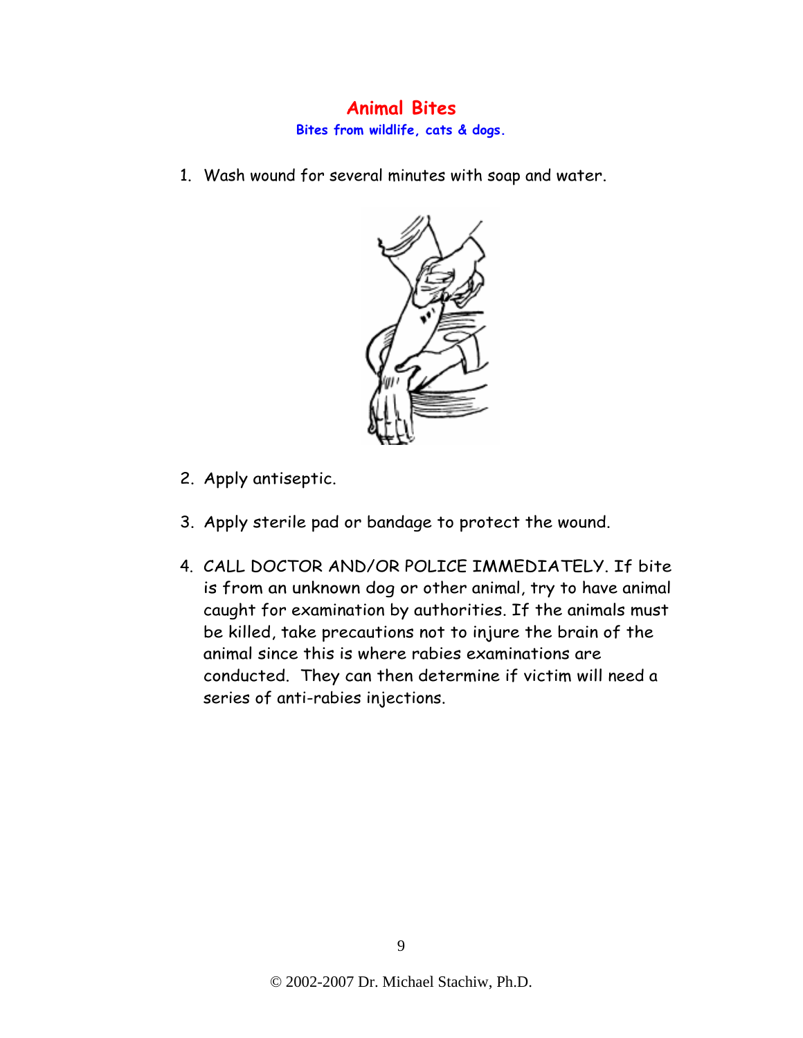# **Animal Bites**

**Bites from wildlife, cats & dogs.** 

1. Wash wound for several minutes with soap and water.



- 2. Apply antiseptic.
- 3. Apply sterile pad or bandage to protect the wound.
- 4. CALL DOCTOR AND/OR POLICE IMMEDIATELY. If bite is from an unknown dog or other animal, try to have animal caught for examination by authorities. If the animals must be killed, take precautions not to injure the brain of the animal since this is where rabies examinations are conducted. They can then determine if victim will need a series of anti-rabies injections.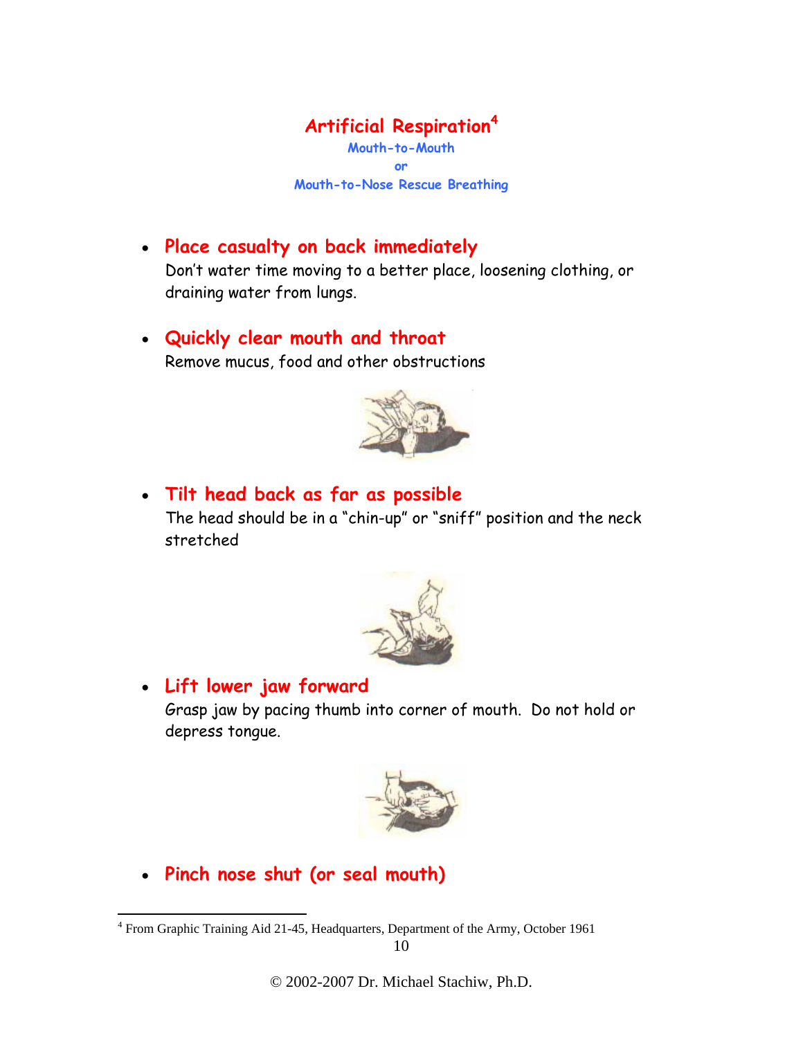# **Artificial Respiration<sup>4</sup>**

**Mouth-to-Mouth or Mouth-to-Nose Rescue Breathing** 

# • **Place casualty on back immediately**

Don't water time moving to a better place, loosening clothing, or draining water from lungs.

# • **Quickly clear mouth and throat**

Remove mucus, food and other obstructions



# • **Tilt head back as far as possible**

The head should be in a "chin-up" or "sniff" position and the neck stretched



### • **Lift lower jaw forward**

Grasp jaw by pacing thumb into corner of mouth. Do not hold or depress tongue.



• **Pinch nose shut (or seal mouth)**

 $\overline{a}$ 

<sup>&</sup>lt;sup>4</sup> From Graphic Training Aid 21-45, Headquarters, Department of the Army, October 1961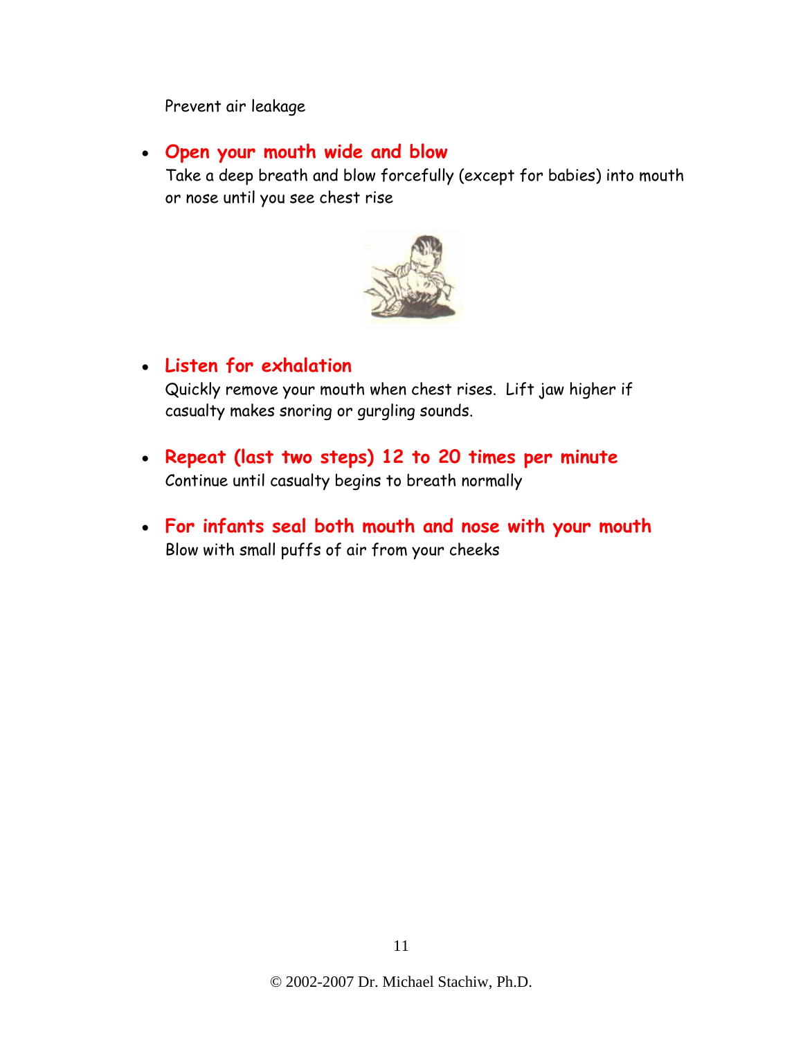#### Prevent air leakage

#### • **Open your mouth wide and blow**

Take a deep breath and blow forcefully (except for babies) into mouth or nose until you see chest rise



### • **Listen for exhalation**

Quickly remove your mouth when chest rises. Lift jaw higher if casualty makes snoring or gurgling sounds.

- **Repeat (last two steps) 12 to 20 times per minute** Continue until casualty begins to breath normally
- **For infants seal both mouth and nose with your mouth** Blow with small puffs of air from your cheeks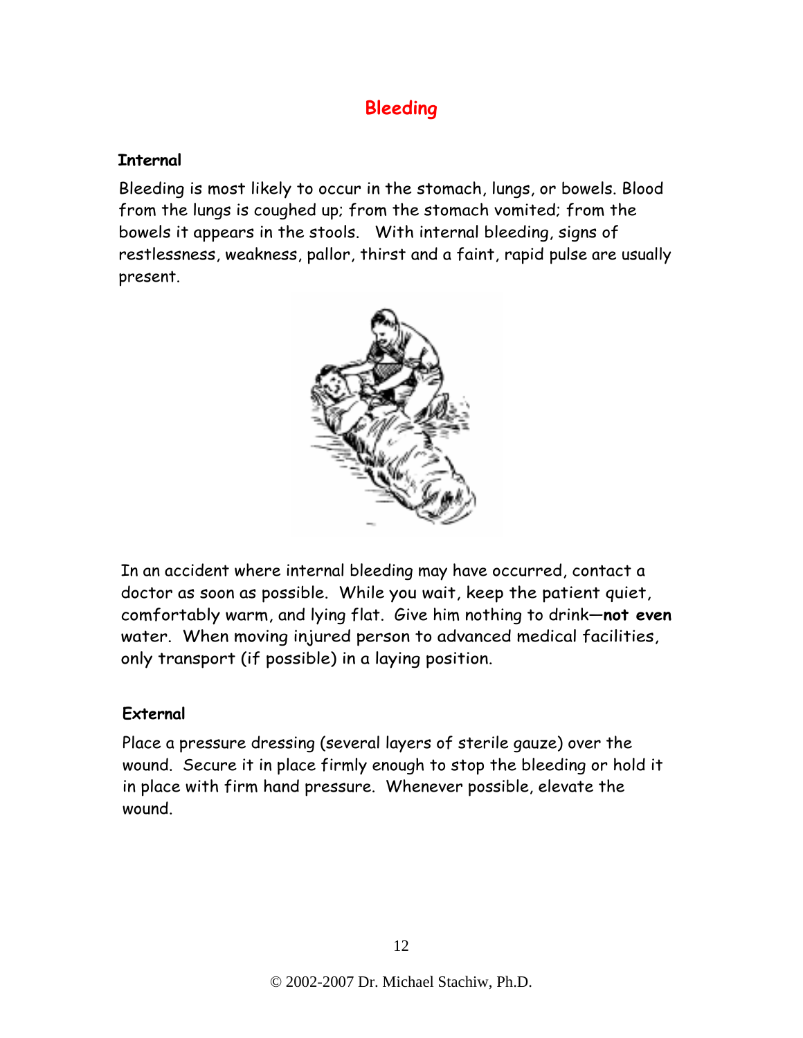# **Bleeding**

#### **Internal**

Bleeding is most likely to occur in the stomach, lungs, or bowels. Blood from the lungs is coughed up; from the stomach vomited; from the bowels it appears in the stools. With internal bleeding, signs of restlessness, weakness, pallor, thirst and a faint, rapid pulse are usually present.



In an accident where internal bleeding may have occurred, contact a doctor as soon as possible. While you wait, keep the patient quiet, comfortably warm, and lying flat. Give him nothing to drink—**not even**  water. When moving injured person to advanced medical facilities, only transport (if possible) in a laying position.

#### **External**

Place a pressure dressing (several layers of sterile gauze) over the wound. Secure it in place firmly enough to stop the bleeding or hold it in place with firm hand pressure. Whenever possible, elevate the wound.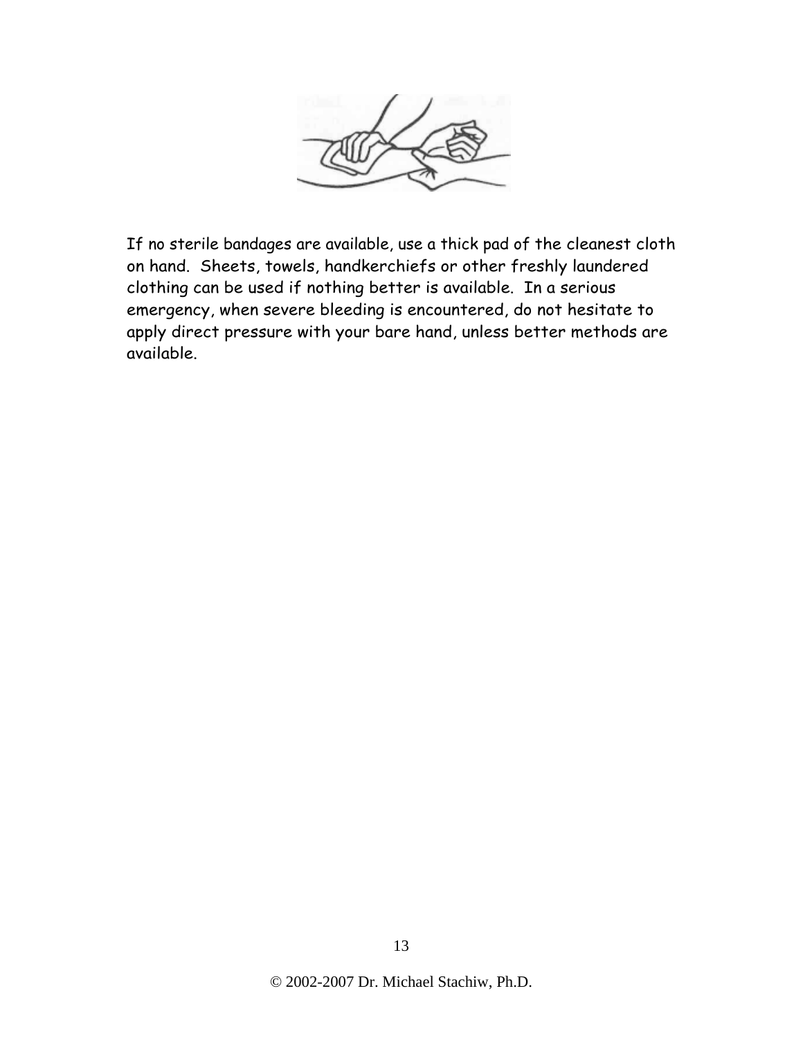

If no sterile bandages are available, use a thick pad of the cleanest cloth on hand. Sheets, towels, handkerchiefs or other freshly laundered clothing can be used if nothing better is available. In a serious emergency, when severe bleeding is encountered, do not hesitate to apply direct pressure with your bare hand, unless better methods are available.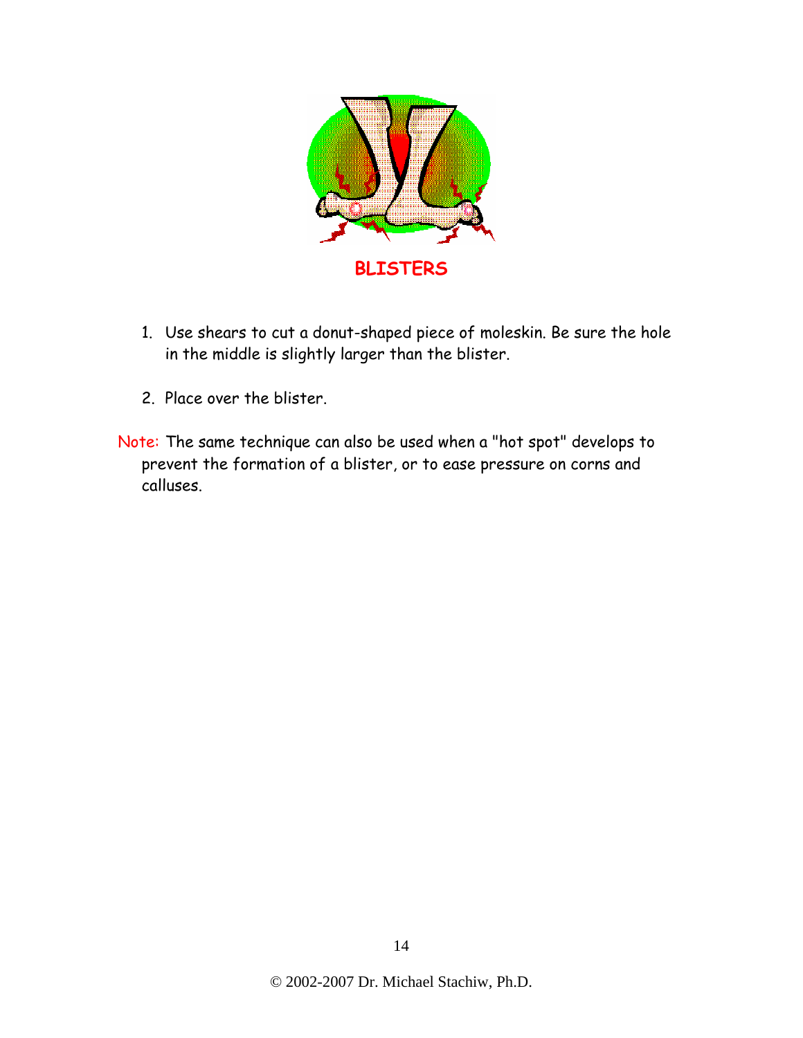

- 1. Use shears to cut a donut-shaped piece of moleskin. Be sure the hole in the middle is slightly larger than the blister.
- 2. Place over the blister.
- Note: The same technique can also be used when a "hot spot" develops to prevent the formation of a blister, or to ease pressure on corns and calluses.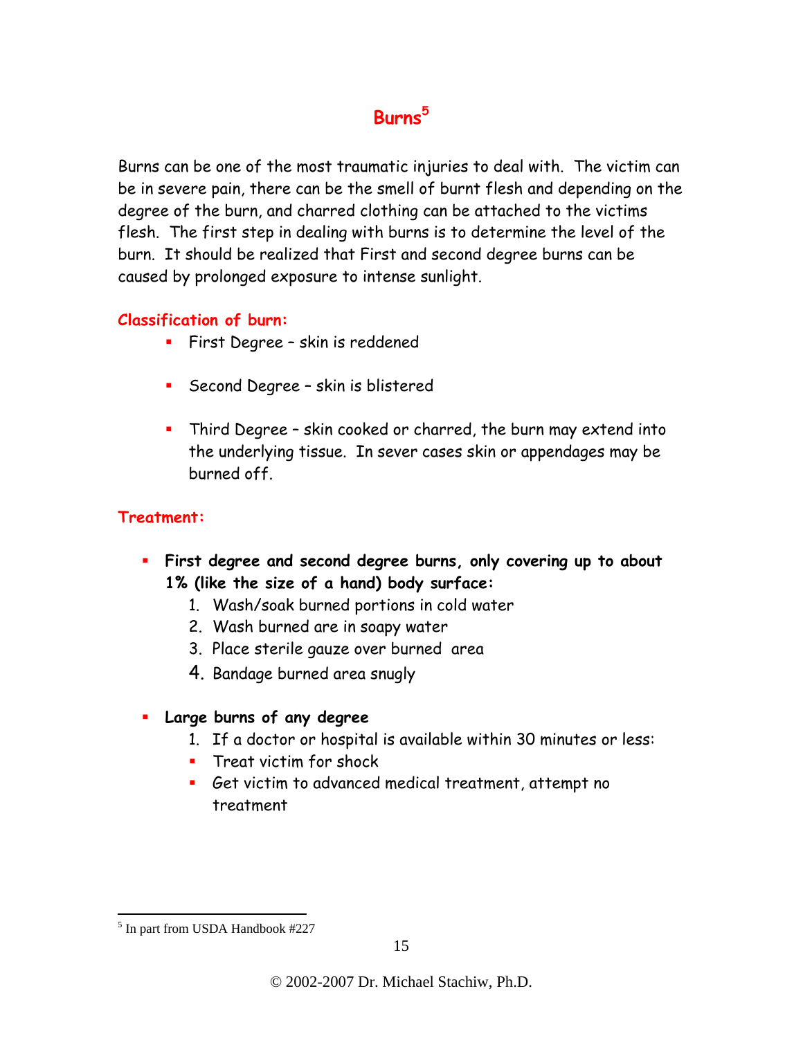# **Burns<sup>5</sup>**

Burns can be one of the most traumatic injuries to deal with. The victim can be in severe pain, there can be the smell of burnt flesh and depending on the degree of the burn, and charred clothing can be attached to the victims flesh. The first step in dealing with burns is to determine the level of the burn. It should be realized that First and second degree burns can be caused by prolonged exposure to intense sunlight.

#### **Classification of burn:**

- **First Degree skin is reddened**
- **Second Degree skin is blistered**
- Third Degree skin cooked or charred, the burn may extend into the underlying tissue. In sever cases skin or appendages may be burned off.

### **Treatment:**

- **First degree and second degree burns, only covering up to about 1% (like the size of a hand) body surface:** 
	- 1. Wash/soak burned portions in cold water
	- 2. Wash burned are in soapy water
	- 3. Place sterile gauze over burned area
	- 4. Bandage burned area snugly
- **Large burns of any degree** 
	- 1. If a doctor or hospital is available within 30 minutes or less:
	- **Treat victim for shock**
	- Get victim to advanced medical treatment, attempt no treatment

 $\overline{a}$ 

<sup>&</sup>lt;sup>5</sup> In part from USDA Handbook #227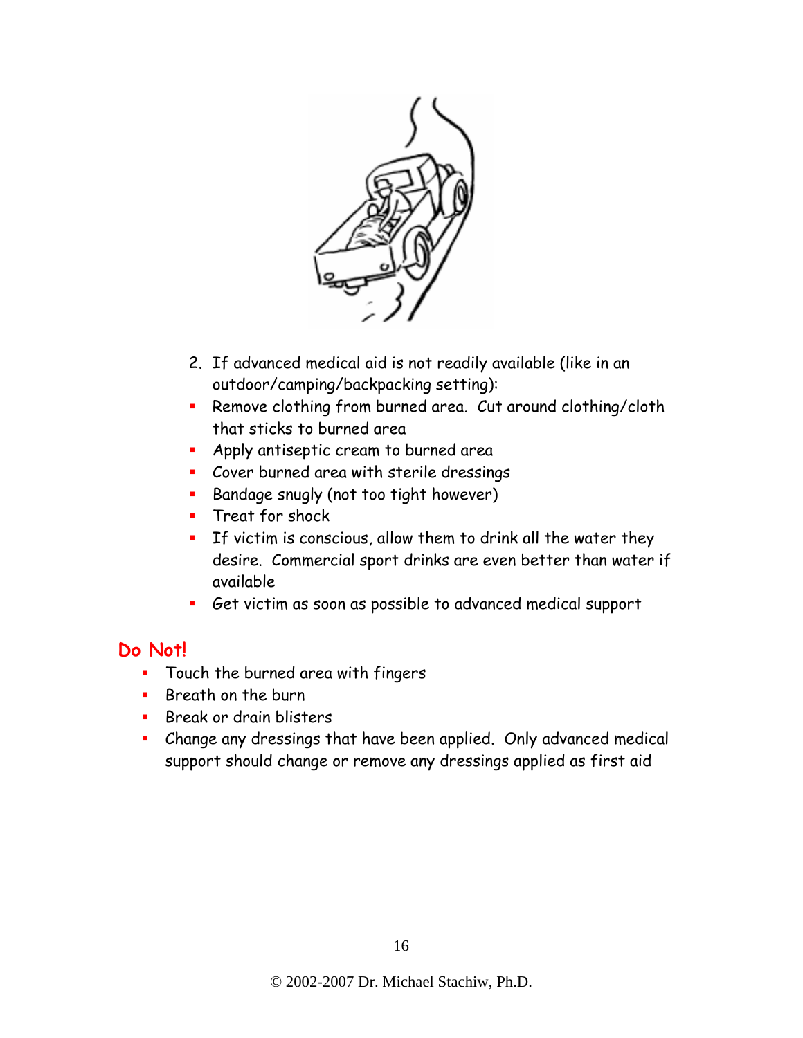

- 2. If advanced medical aid is not readily available (like in an outdoor/camping/backpacking setting):
- **Remove clothing from burned area. Cut around clothing/cloth** that sticks to burned area
- **Apply antiseptic cream to burned area**
- Cover burned area with sterile dressings
- **Bandage snugly (not too tight however)**
- **Treat for shock**
- **If victim is conscious, allow them to drink all the water they** desire. Commercial sport drinks are even better than water if available
- Get victim as soon as possible to advanced medical support

### **Do Not!**

- **Touch the burned area with fingers**
- $\blacksquare$  Breath on the burn
- **Break or drain blisters**
- **EXTE:** Change any dressings that have been applied. Only advanced medical support should change or remove any dressings applied as first aid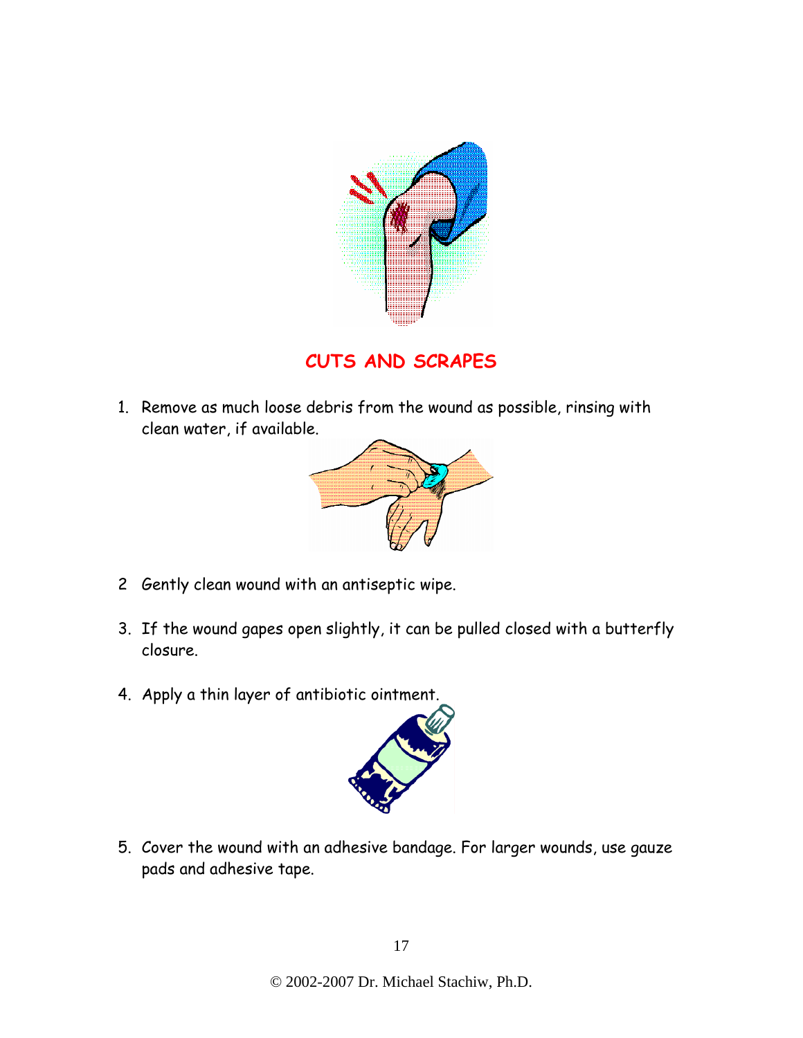

**CUTS AND SCRAPES** 

1. Remove as much loose debris from the wound as possible, rinsing with clean water, if available.



- 2 Gently clean wound with an antiseptic wipe.
- 3. If the wound gapes open slightly, it can be pulled closed with a butterfly closure.
- 4. Apply a thin layer of antibiotic ointment.



5. Cover the wound with an adhesive bandage. For larger wounds, use gauze pads and adhesive tape.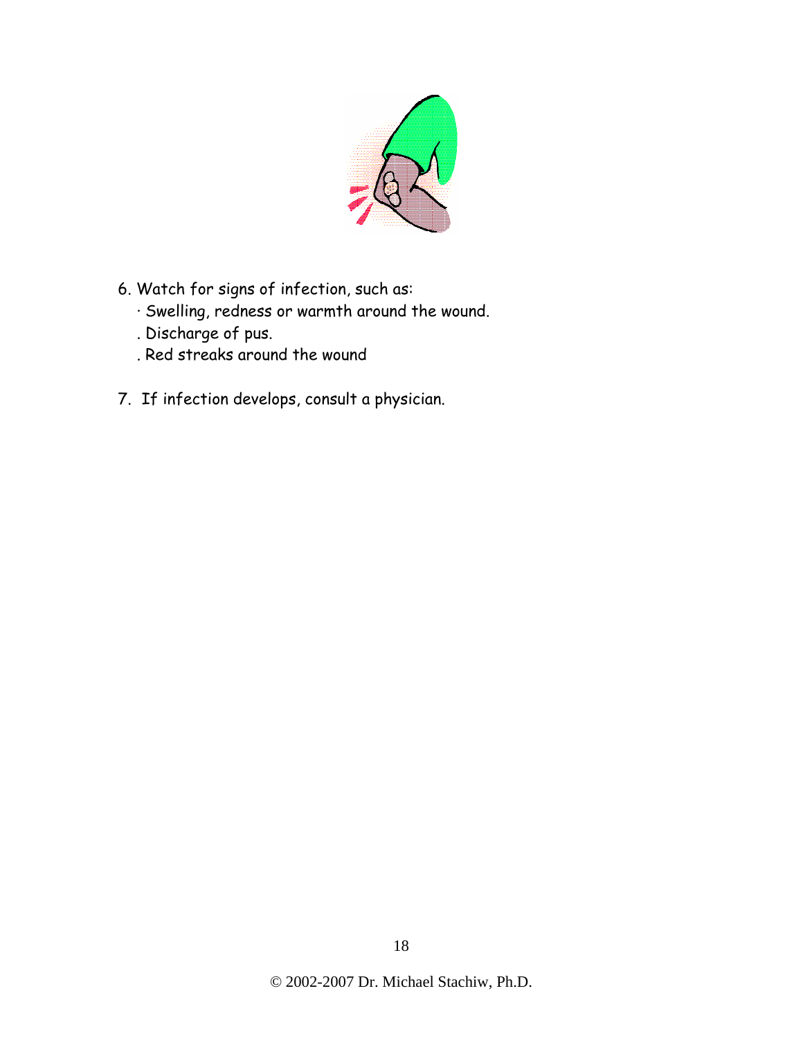

- 6. Watch for signs of infection, such as:
	- · Swelling, redness or warmth around the wound.
	- . Discharge of pus.
	- . Red streaks around the wound
- 7. If infection develops, consult a physician.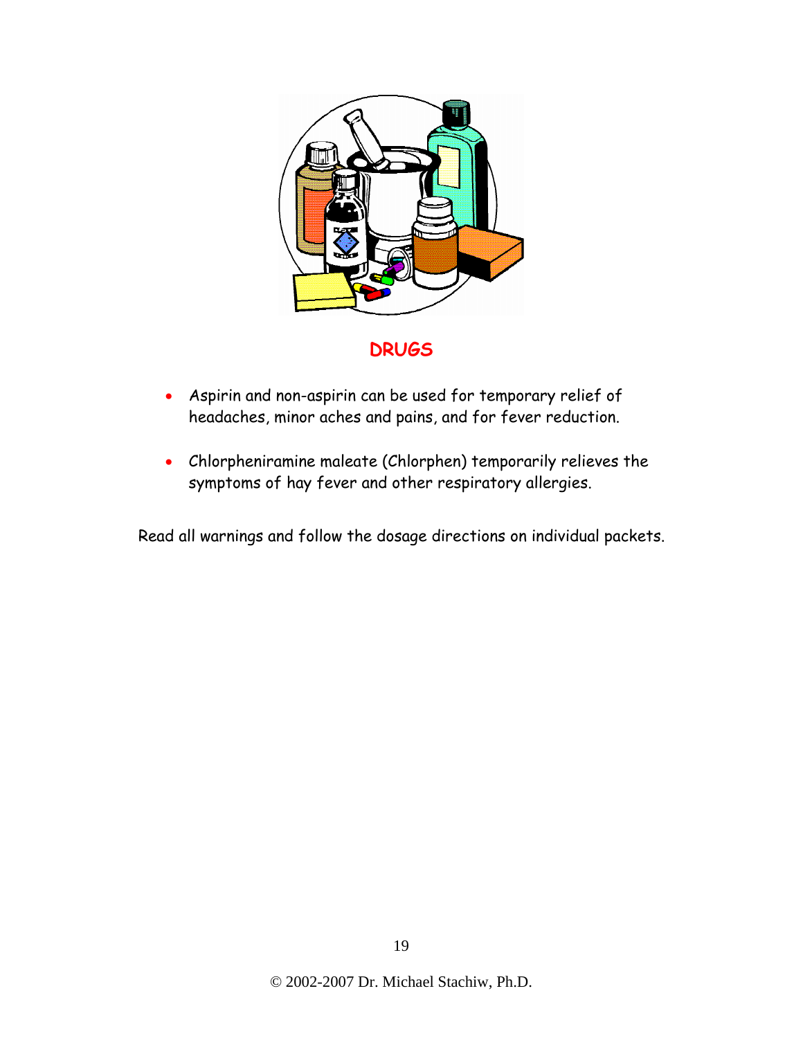

**DRUGS** 

- Aspirin and non-aspirin can be used for temporary relief of headaches, minor aches and pains, and for fever reduction.
- Chlorpheniramine maleate (Chlorphen) temporarily relieves the symptoms of hay fever and other respiratory allergies.

Read all warnings and follow the dosage directions on individual packets.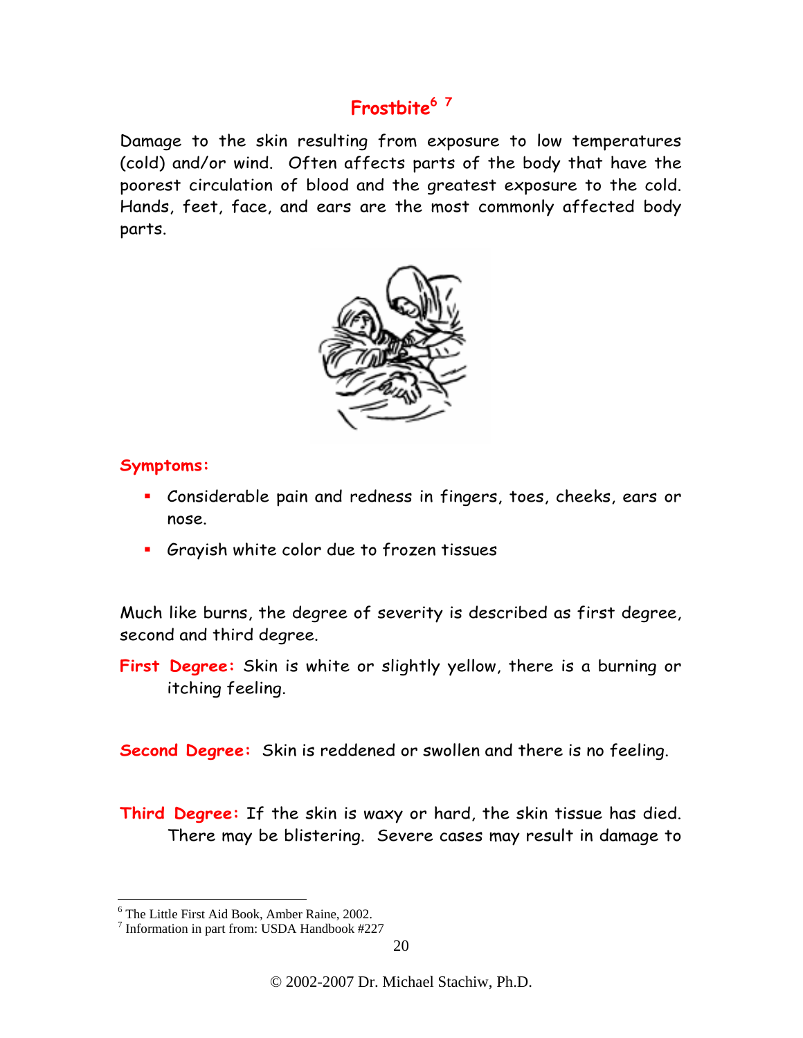# **Frostbite6 <sup>7</sup>**

Damage to the skin resulting from exposure to low temperatures (cold) and/or wind. Often affects parts of the body that have the poorest circulation of blood and the greatest exposure to the cold. Hands, feet, face, and ears are the most commonly affected body parts.



#### **Symptoms:**

- Considerable pain and redness in fingers, toes, cheeks, ears or nose.
- Grayish white color due to frozen tissues

Much like burns, the degree of severity is described as first degree, second and third degree.

**First Degree:** Skin is white or slightly yellow, there is a burning or itching feeling.

**Second Degree:** Skin is reddened or swollen and there is no feeling.

**Third Degree:** If the skin is waxy or hard, the skin tissue has died. There may be blistering. Severe cases may result in damage to

 6 The Little First Aid Book, Amber Raine, 2002.

<sup>7</sup> Information in part from: USDA Handbook #227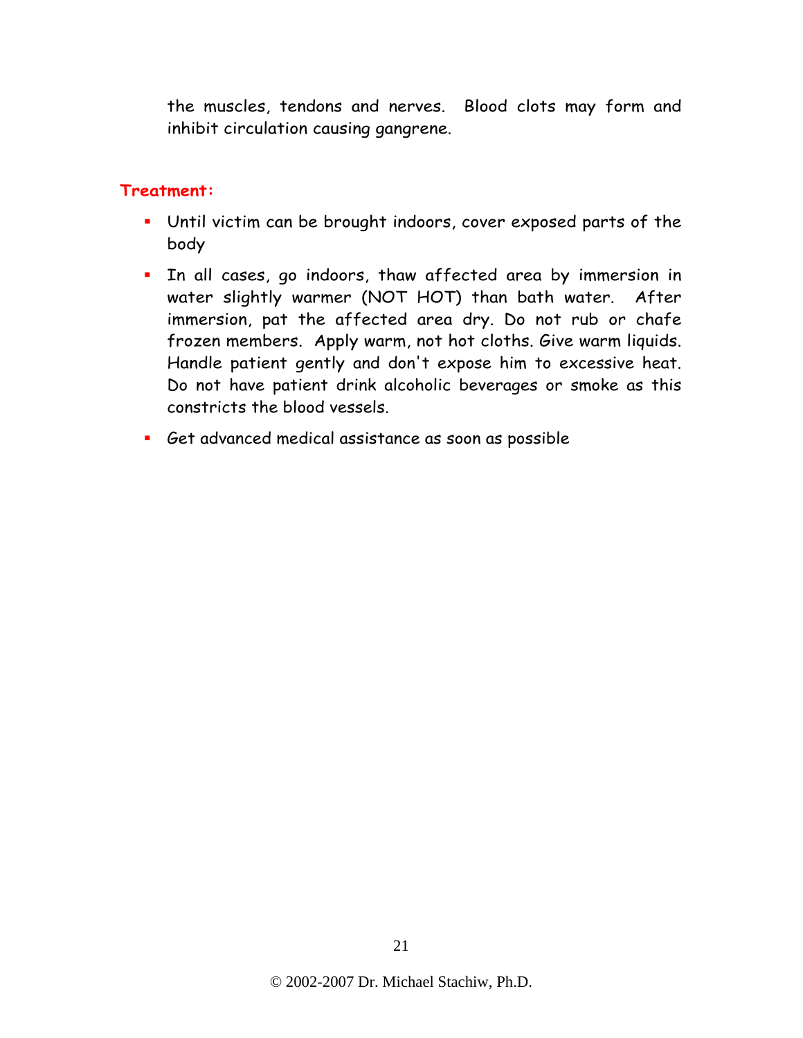the muscles, tendons and nerves. Blood clots may form and inhibit circulation causing gangrene.

#### **Treatment:**

- Until victim can be brought indoors, cover exposed parts of the body
- **I.** In all cases, go indoors, thaw affected area by immersion in water slightly warmer (NOT HOT) than bath water. After immersion, pat the affected area dry. Do not rub or chafe frozen members. Apply warm, not hot cloths. Give warm liquids. Handle patient gently and don't expose him to excessive heat. Do not have patient drink alcoholic beverages or smoke as this constricts the blood vessels.
- Get advanced medical assistance as soon as possible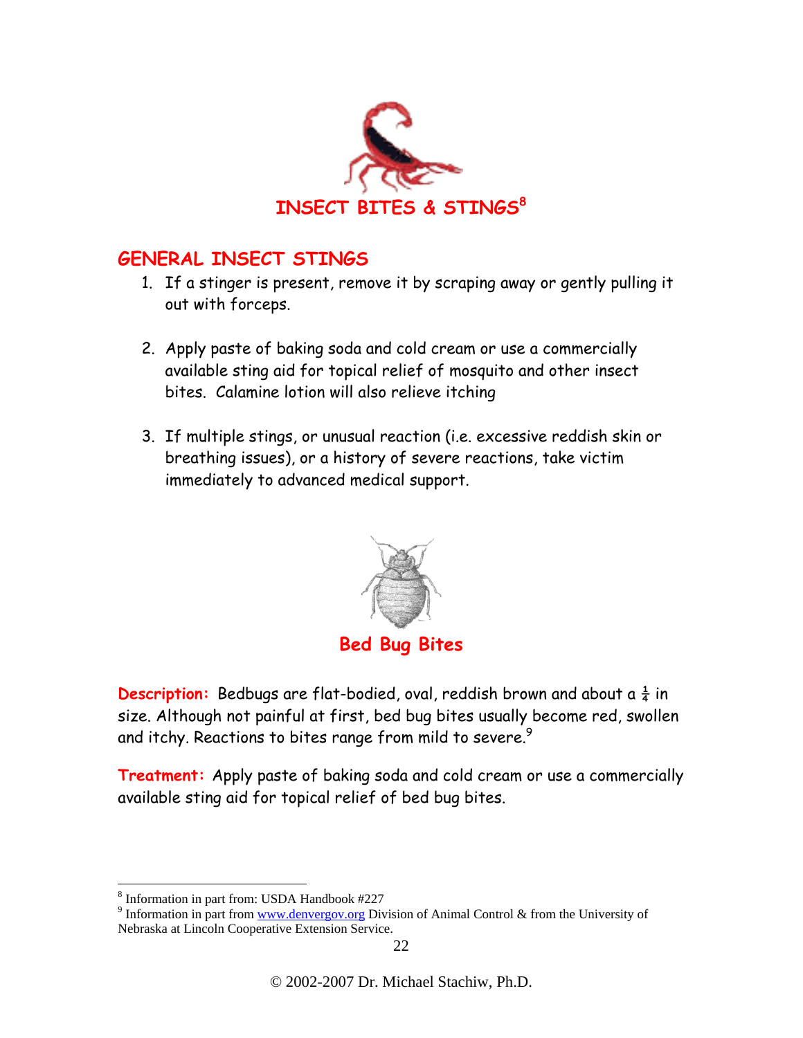

# **GENERAL INSECT STINGS**

- 1. If a stinger is present, remove it by scraping away or gently pulling it out with forceps.
- 2. Apply paste of baking soda and cold cream or use a commercially available sting aid for topical relief of mosquito and other insect bites. Calamine lotion will also relieve itching
- 3. If multiple stings, or unusual reaction (i.e. excessive reddish skin or breathing issues), or a history of severe reactions, take victim immediately to advanced medical support.



**Description:** Bedbugs are flat-bodied, oval, reddish brown and about a  $\frac{1}{4}$  in size. Although not painful at first, bed bug bites usually become red, swollen and itchy. Reactions to bites range from mild to severe.<sup>9</sup>

**Treatment:** Apply paste of baking soda and cold cream or use a commercially available sting aid for topical relief of bed bug bites.

 $\overline{a}$ 8 Information in part from: USDA Handbook #227

<sup>&</sup>lt;sup>9</sup> Information in part from www.denvergov.org Division of Animal Control & from the University of Nebraska at Lincoln Cooperative Extension Service.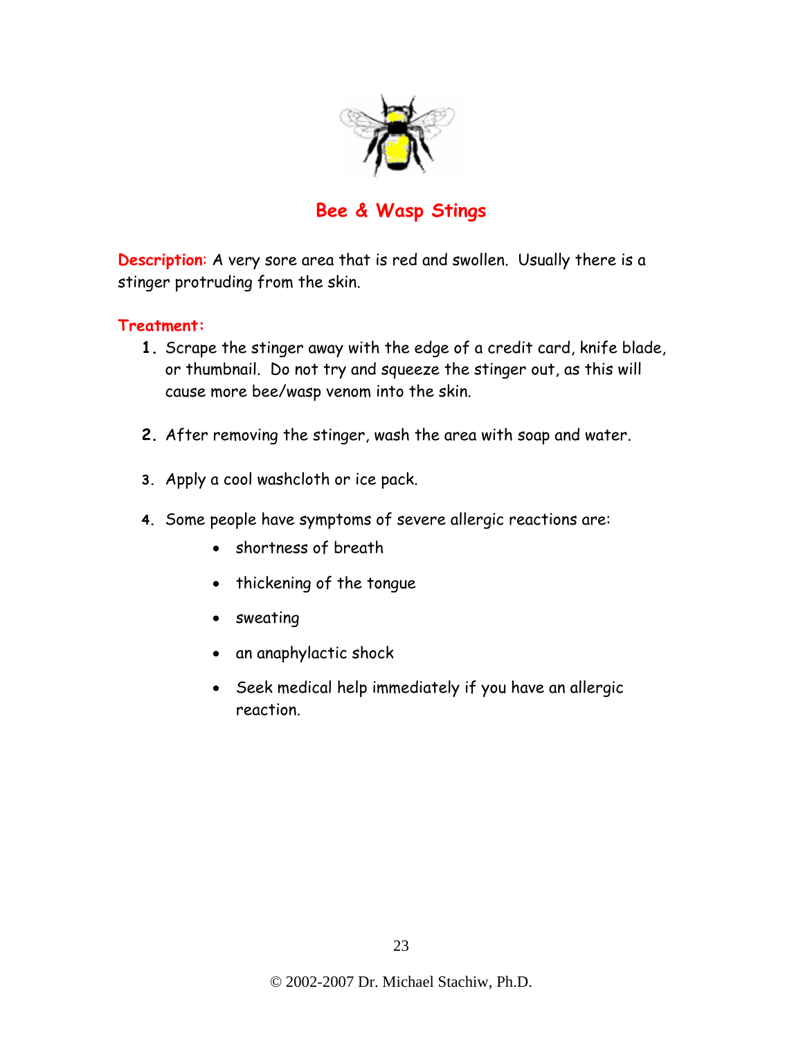

# **Bee & Wasp Stings**

**Description**: A very sore area that is red and swollen. Usually there is a stinger protruding from the skin.

#### **Treatment:**

- **1.** Scrape the stinger away with the edge of a credit card, knife blade, or thumbnail. Do not try and squeeze the stinger out, as this will cause more bee/wasp venom into the skin.
- **2.** After removing the stinger, wash the area with soap and water.
- **3.** Apply a cool washcloth or ice pack.
- **4.** Some people have symptoms of severe allergic reactions are:
	- shortness of breath
	- thickening of the tongue
	- sweating
	- an anaphylactic shock
	- Seek medical help immediately if you have an allergic reaction.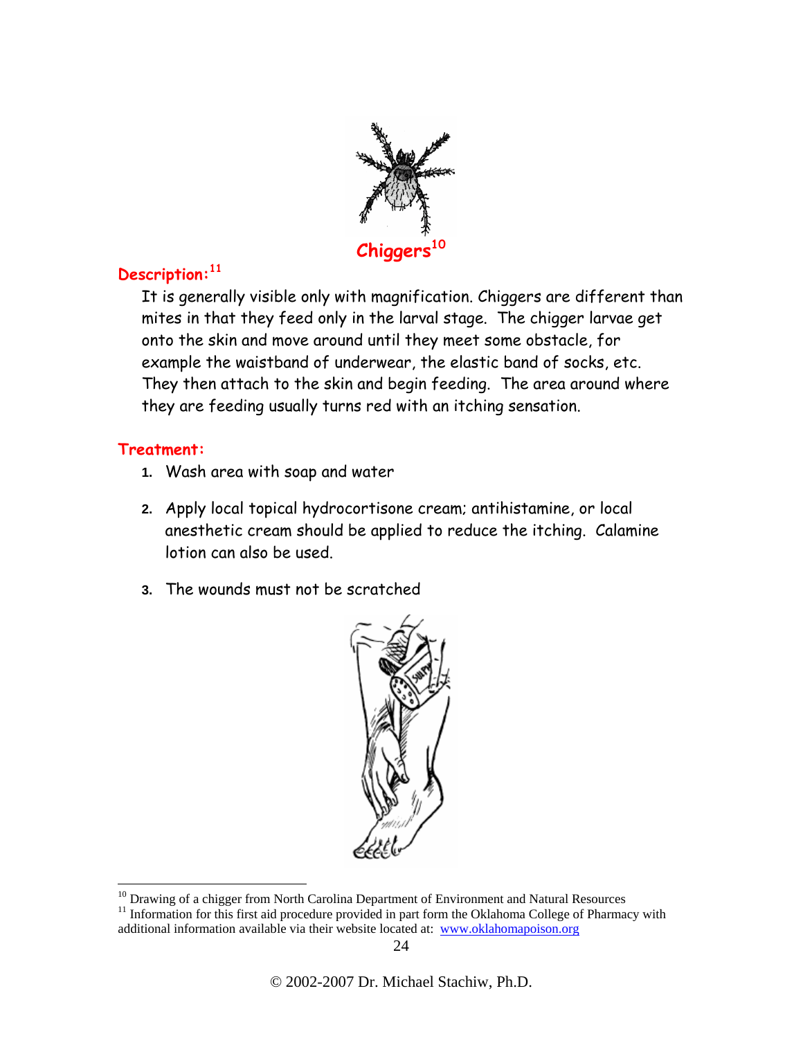

### **Description:11**

It is generally visible only with magnification. Chiggers are different than mites in that they feed only in the larval stage. The chigger larvae get onto the skin and move around until they meet some obstacle, for example the waistband of underwear, the elastic band of socks, etc. They then attach to the skin and begin feeding. The area around where they are feeding usually turns red with an itching sensation.

#### **Treatment:**

 $\overline{a}$ 

- **1.** Wash area with soap and water
- **2.** Apply local topical hydrocortisone cream; antihistamine, or local anesthetic cream should be applied to reduce the itching. Calamine lotion can also be used.
- **3.** The wounds must not be scratched



 $10$  Drawing of a chigger from North Carolina Department of Environment and Natural Resources

<sup>&</sup>lt;sup>11</sup> Information for this first aid procedure provided in part form the Oklahoma College of Pharmacy with additional information available via their website located at: www.oklahomapoison.org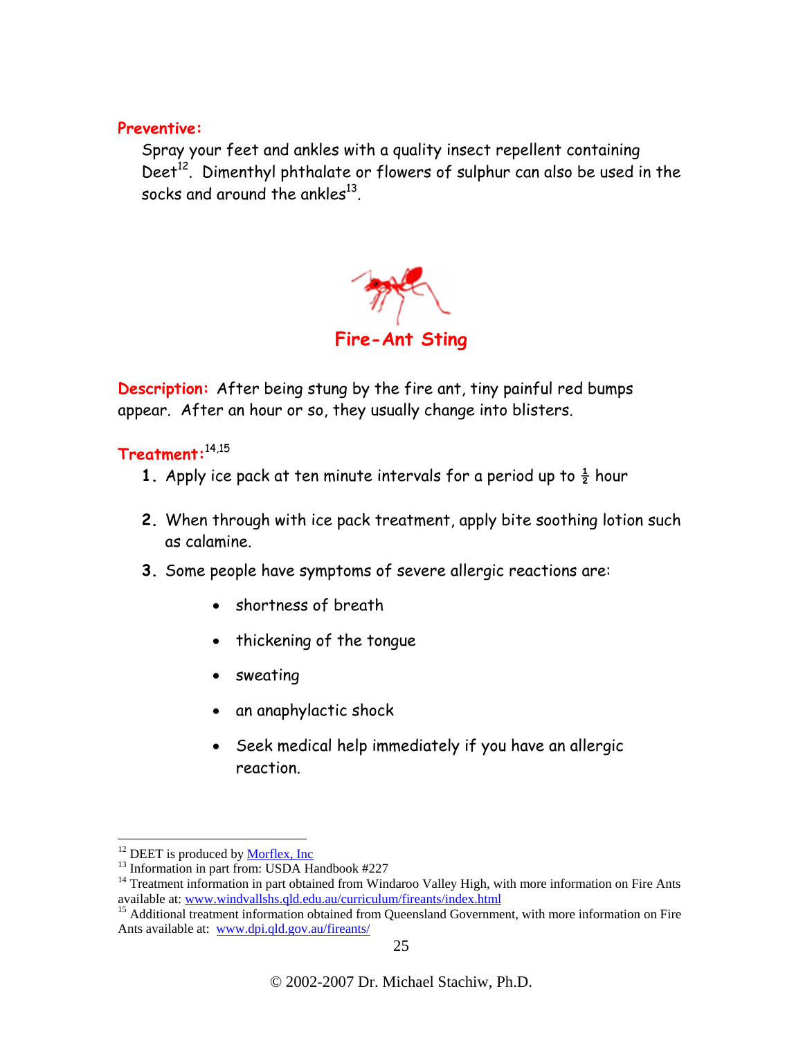#### **Preventive:**

Spray your feet and ankles with a quality insect repellent containing Deet<sup>12</sup>. Dimenthyl phthalate or flowers of sulphur can also be used in the socks and around the ankles $^{13}$ .



**Description:** After being stung by the fire ant, tiny painful red bumps appear. After an hour or so, they usually change into blisters.

#### **Treatment:**14,15

- **1.** Apply ice pack at ten minute intervals for a period up to  $\frac{1}{2}$  hour
- **2.** When through with ice pack treatment, apply bite soothing lotion such as calamine.
- **3.** Some people have symptoms of severe allergic reactions are:
	- shortness of breath
	- thickening of the tongue
	- sweating
	- an anaphylactic shock
	- Seek medical help immediately if you have an allergic reaction.

 $12$  DEET is produced by Morflex, Inc.

 $13$  Information in part from: USDA Handbook #227

<sup>&</sup>lt;sup>14</sup> Treatment information in part obtained from Windaroo Valley High, with more information on Fire Ants available at: www.windvallshs.qld.edu.au/curriculum/fireants/index.html

 $15$  Additional treatment information obtained from Queensland Government, with more information on Fire Ants available at: www.dpi.qld.gov.au/fireants/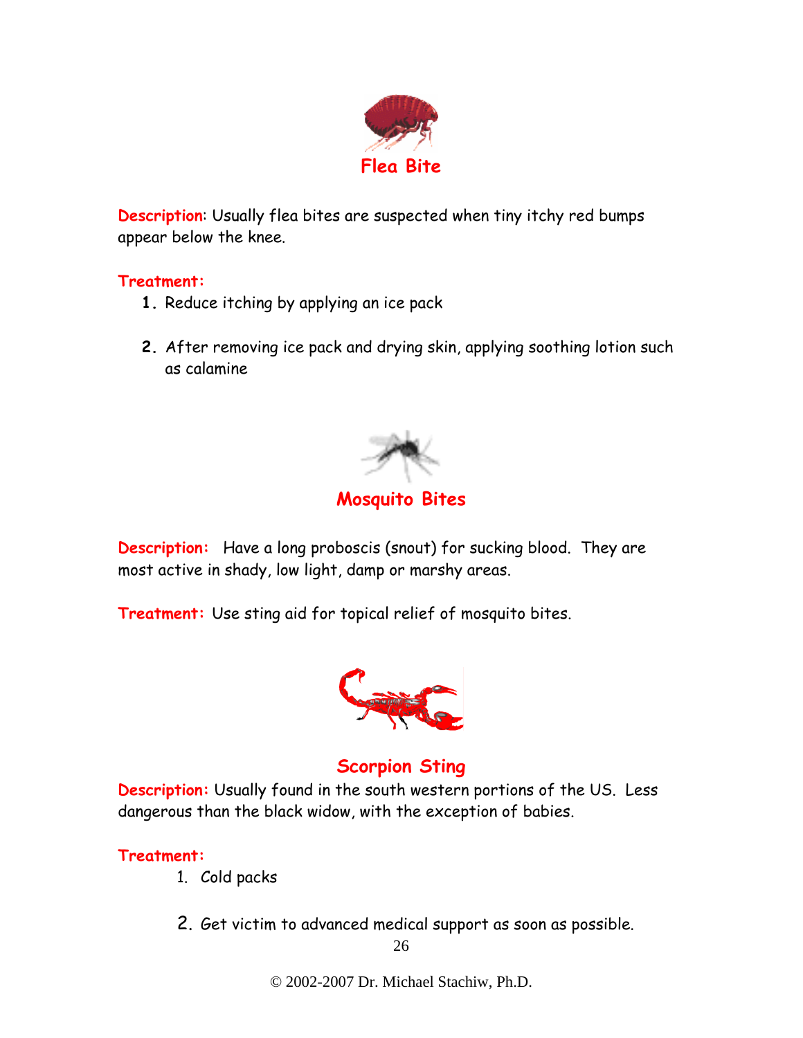

**Description**: Usually flea bites are suspected when tiny itchy red bumps appear below the knee.

#### **Treatment:**

- **1.** Reduce itching by applying an ice pack
- **2.** After removing ice pack and drying skin, applying soothing lotion such as calamine



**Description:** Have a long proboscis (snout) for sucking blood. They are most active in shady, low light, damp or marshy areas.

**Treatment:** Use sting aid for topical relief of mosquito bites.



# **Scorpion Sting**

**Description:** Usually found in the south western portions of the US. Less dangerous than the black widow, with the exception of babies.

#### **Treatment:**

- 1. Cold packs
- 2. Get victim to advanced medical support as soon as possible.

© 2002-2007 Dr. Michael Stachiw, Ph.D.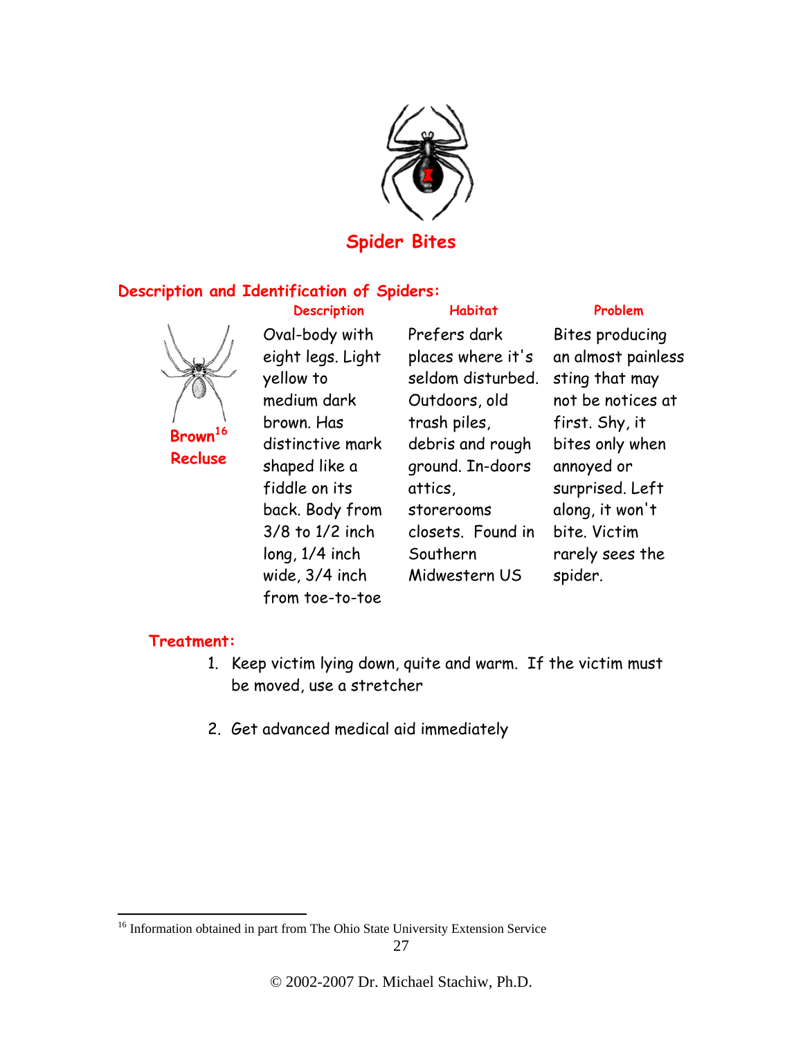

### **Spider Bites**

#### **Description and Identification of Spiders:**



**Recluse** 

**Description Habitat Problem** Oval-body with eight legs. Light yellow to medium dark brown. Has distinctive mark shaped like a fiddle on its back. Body from 3/8 to 1/2 inch long, 1/4 inch wide, 3/4 inch from toe-to-toe

Prefers dark places where it's seldom disturbed. Outdoors, old trash piles, debris and rough ground. In-doors attics, storerooms closets. Found in Southern Midwestern US

Bites producing an almost painless sting that may not be notices at first. Shy, it bites only when annoyed or surprised. Left along, it won't bite. Victim rarely sees the spider.

#### **Treatment:**

 $\overline{a}$ 

- 1. Keep victim lying down, quite and warm. If the victim must be moved, use a stretcher
- 2. Get advanced medical aid immediately

<sup>&</sup>lt;sup>16</sup> Information obtained in part from The Ohio State University Extension Service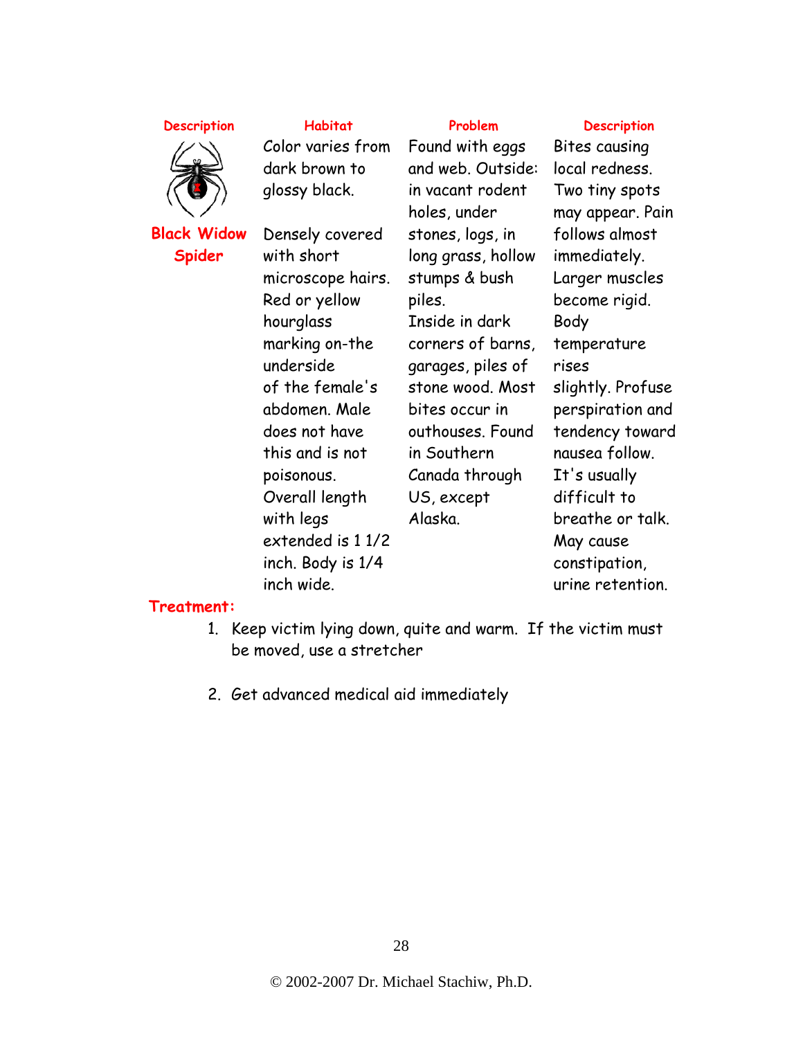#### **Description** Habitat Problem Description



**Black Widow Spider**

Color varies from dark brown to glossy black.

Densely covered with short microscope hairs. Red or yellow hourglass marking on-the underside of the female's abdomen. Male does not have this and is not poisonous. Overall length with legs extended is 1 1/2 inch. Body is 1/4 inch wide.

Found with eggs and web. Outside: in vacant rodent holes, under stones, logs, in long grass, hollow stumps & bush piles. Inside in dark corners of barns, garages, piles of stone wood. Most bites occur in outhouses. Found in Southern Canada through US, except Alaska.

Bites causing local redness. Two tiny spots may appear. Pain follows almost immediately. Larger muscles become rigid. Body temperature rises slightly. Profuse perspiration and tendency toward nausea follow. It's usually difficult to breathe or talk. May cause constipation, urine retention.

#### **Treatment:**

- 1. Keep victim lying down, quite and warm. If the victim must be moved, use a stretcher
- 2. Get advanced medical aid immediately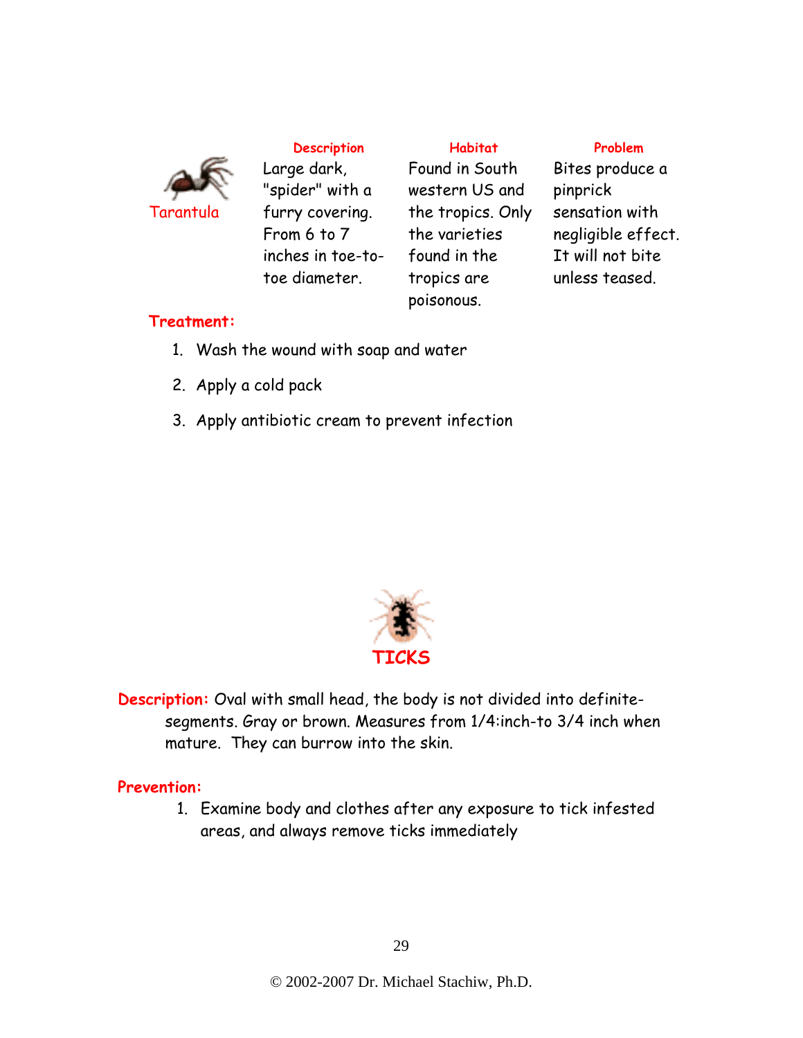

Large dark, "spider" with a furry covering. From 6 to 7 inches in toe-totoe diameter.

**Description Habitat Problem** Found in South western US and the tropics. Only the varieties found in the tropics are poisonous.

Bites produce a pinprick sensation with negligible effect. It will not bite unless teased.

#### **Treatment:**

- 1. Wash the wound with soap and water
- 2. Apply a cold pack
- 3. Apply antibiotic cream to prevent infection



**Description:** Oval with small head, the body is not divided into definitesegments. Gray or brown. Measures from 1/4:inch-to 3/4 inch when mature. They can burrow into the skin.

#### **Prevention:**

1. Examine body and clothes after any exposure to tick infested areas, and always remove ticks immediately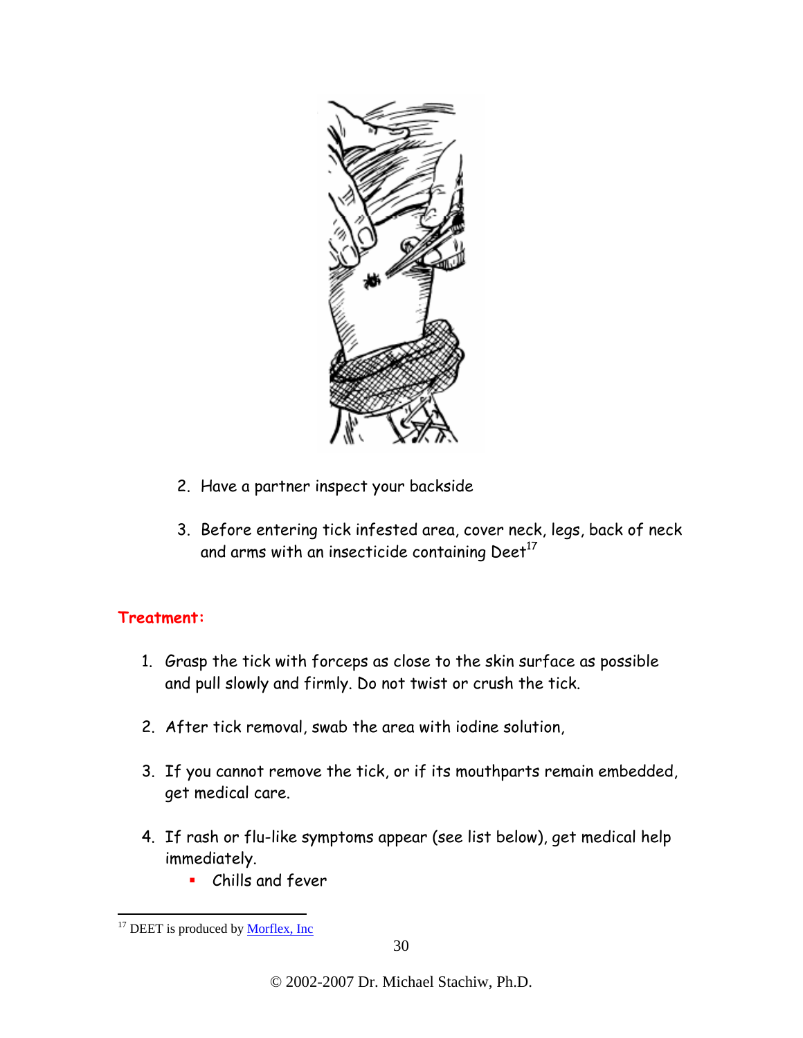

- 2. Have a partner inspect your backside
- 3. Before entering tick infested area, cover neck, legs, back of neck and arms with an insecticide containing  $\text{Deet}^{17}$

#### **Treatment:**

- 1. Grasp the tick with forceps as close to the skin surface as possible and pull slowly and firmly. Do not twist or crush the tick.
- 2. After tick removal, swab the area with iodine solution,
- 3. If you cannot remove the tick, or if its mouthparts remain embedded, get medical care.
- 4. If rash or flu-like symptoms appear (see list below), get medical help immediately.
	- Chills and fever

 $\overline{a}$ 

<sup>&</sup>lt;sup>17</sup> DEET is produced by <u>Morflex, Inc</u>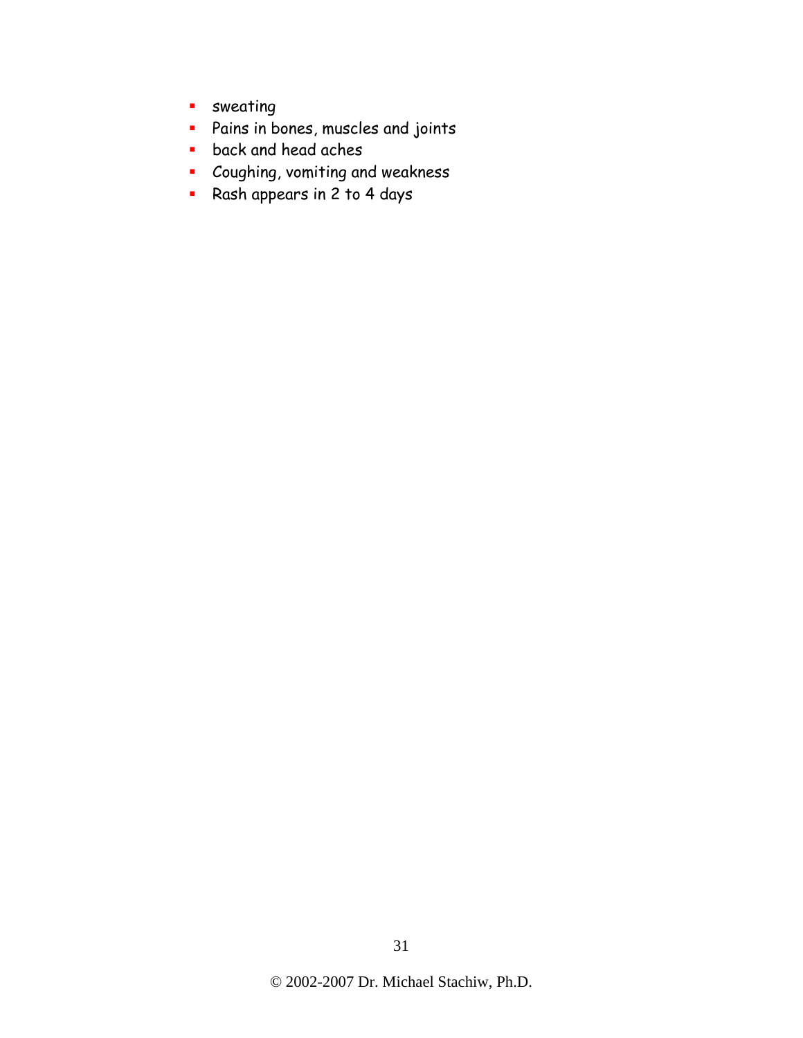- **sweating**
- Pains in bones, muscles and joints
- **back and head aches**
- **Coughing, vomiting and weakness**
- Rash appears in 2 to 4 days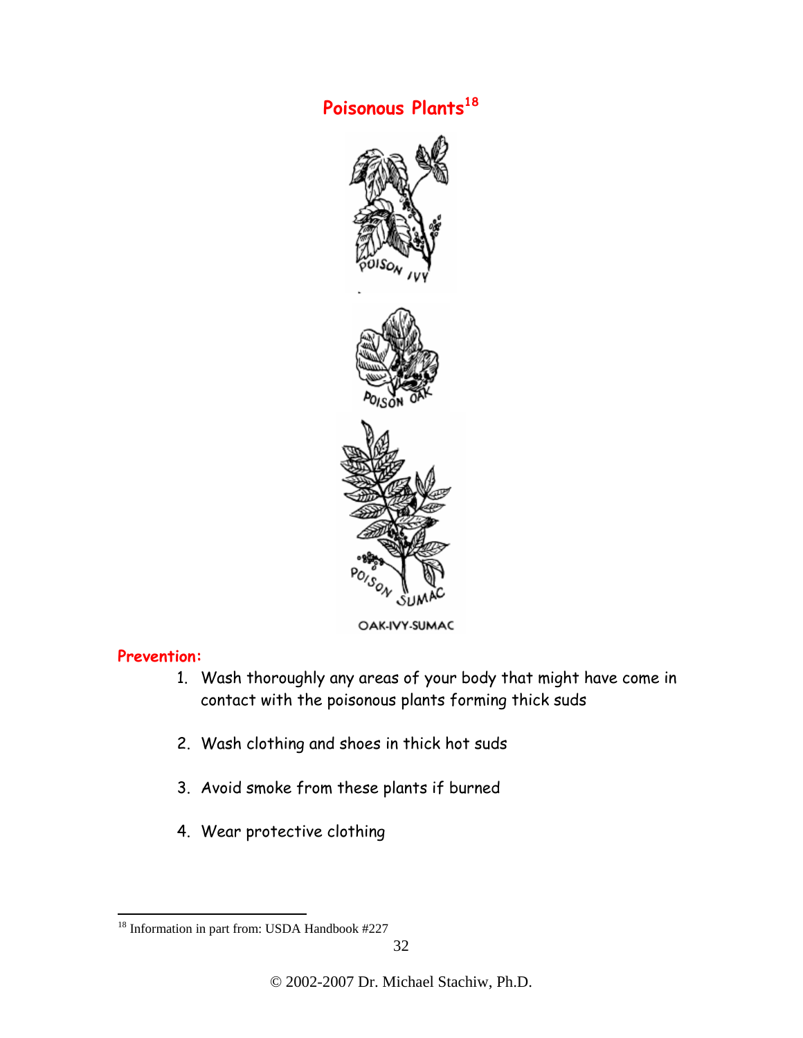# **Poisonous Plants<sup>18</sup>**



OAK-IVY-SUMAC

#### **Prevention:**

 $\overline{a}$ 

- 1. Wash thoroughly any areas of your body that might have come in contact with the poisonous plants forming thick suds
- 2. Wash clothing and shoes in thick hot suds
- 3. Avoid smoke from these plants if burned
- 4. Wear protective clothing

<sup>&</sup>lt;sup>18</sup> Information in part from: USDA Handbook #227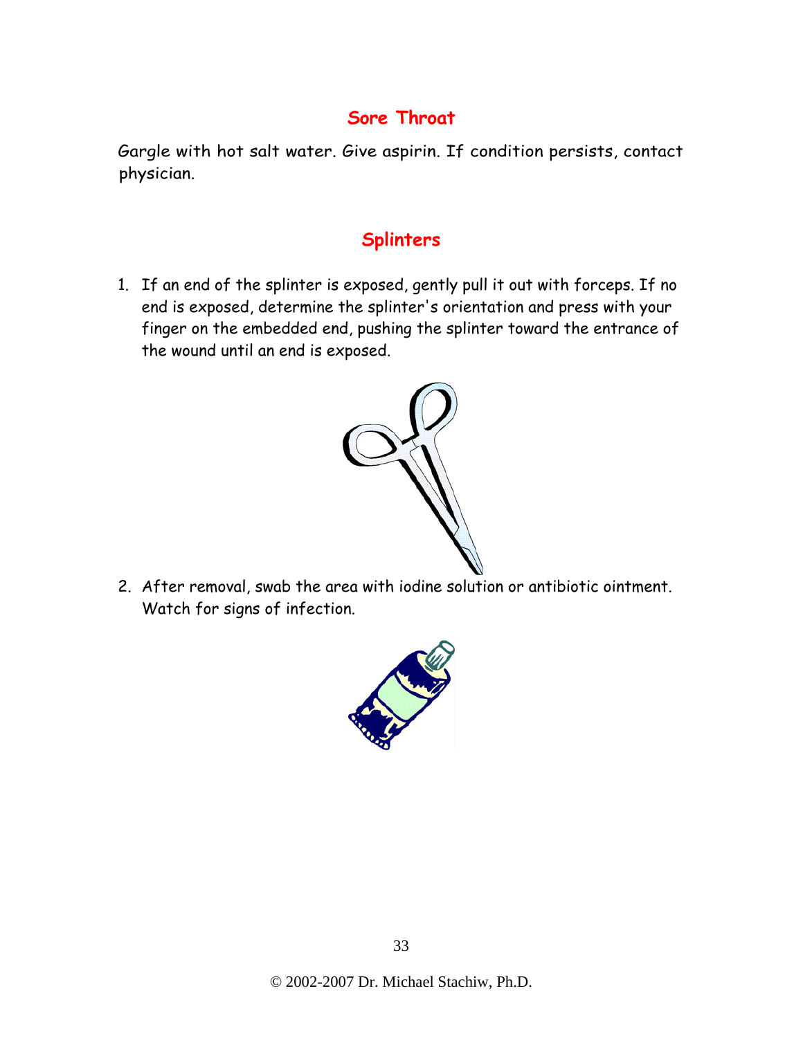# **Sore Throat**

Gargle with hot salt water. Give aspirin. If condition persists, contact physician.

# **Splinters**

1. If an end of the splinter is exposed, gently pull it out with forceps. If no end is exposed, determine the splinter's orientation and press with your finger on the embedded end, pushing the splinter toward the entrance of the wound until an end is exposed.



2. After removal, swab the area with iodine solution or antibiotic ointment. Watch for signs of infection.

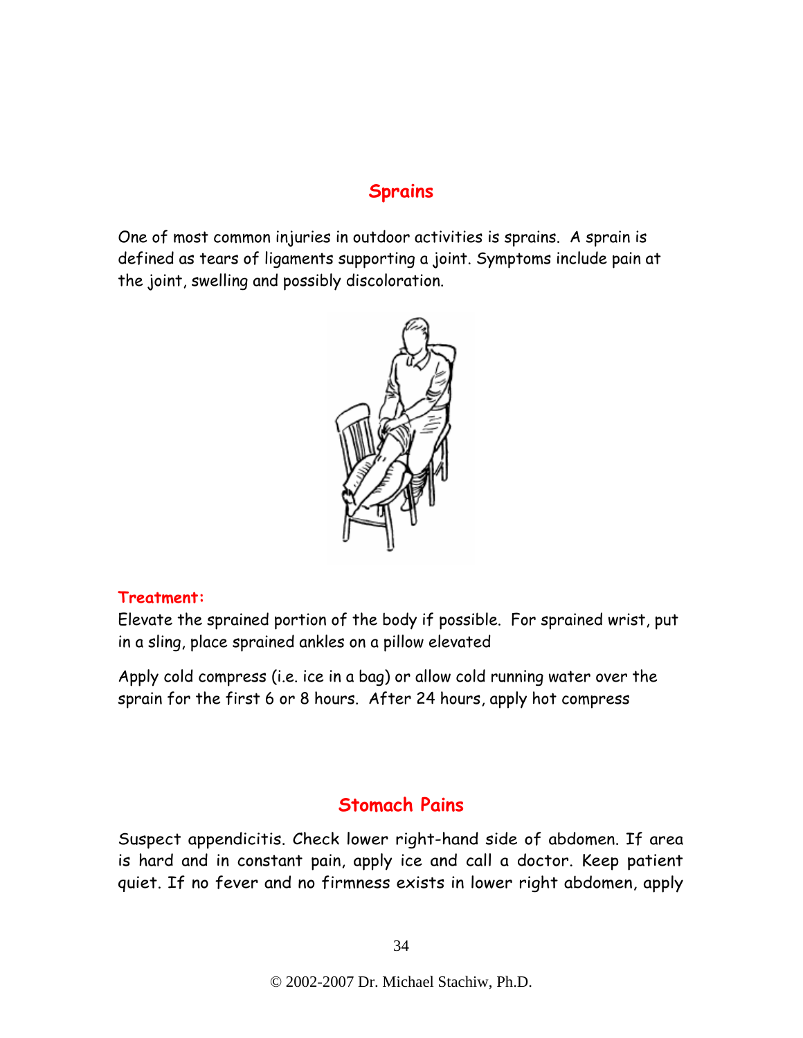#### **Sprains**

One of most common injuries in outdoor activities is sprains. A sprain is defined as tears of ligaments supporting a joint. Symptoms include pain at the joint, swelling and possibly discoloration.



#### **Treatment:**

Elevate the sprained portion of the body if possible. For sprained wrist, put in a sling, place sprained ankles on a pillow elevated

Apply cold compress (i.e. ice in a bag) or allow cold running water over the sprain for the first 6 or 8 hours. After 24 hours, apply hot compress

#### **Stomach Pains**

Suspect appendicitis. Check lower right-hand side of abdomen. If area is hard and in constant pain, apply ice and call a doctor. Keep patient quiet. If no fever and no firmness exists in lower right abdomen, apply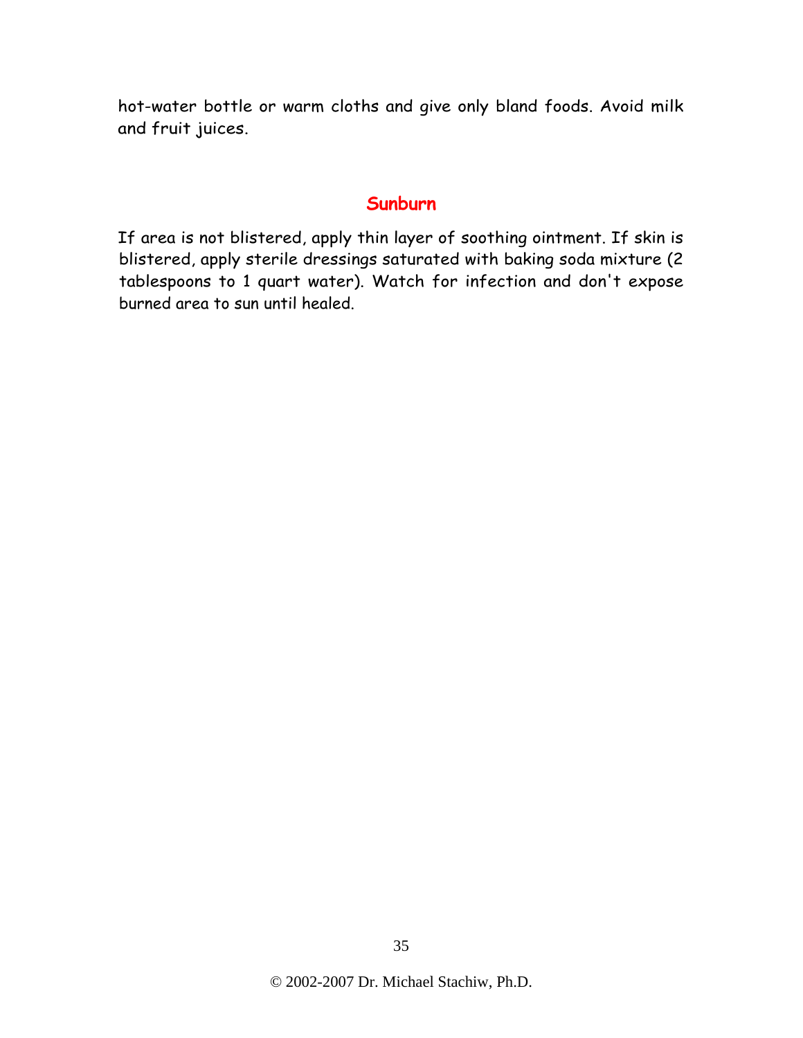hot-water bottle or warm cloths and give only bland foods. Avoid milk and fruit juices.

#### **Sunburn**

If area is not blistered, apply thin layer of soothing ointment. If skin is blistered, apply sterile dressings saturated with baking soda mixture (2 tablespoons to 1 quart water). Watch for infection and don't expose burned area to sun until healed.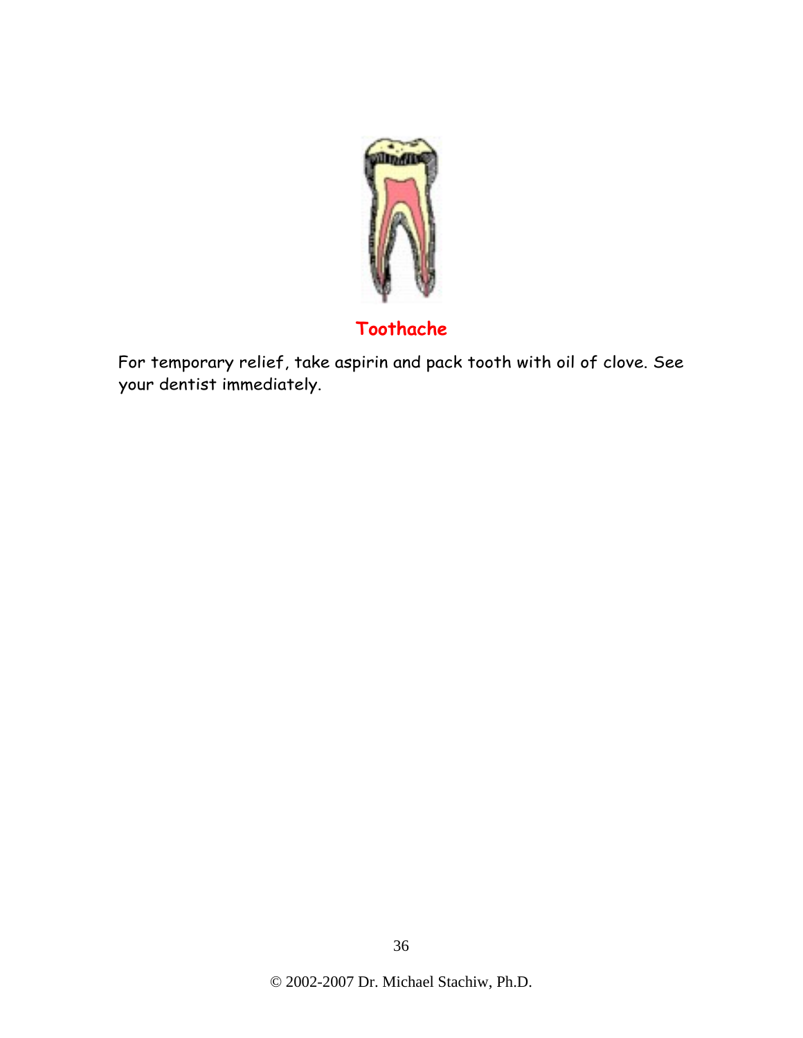

# **Toothache**

For temporary relief, take aspirin and pack tooth with oil of clove. See your dentist immediately.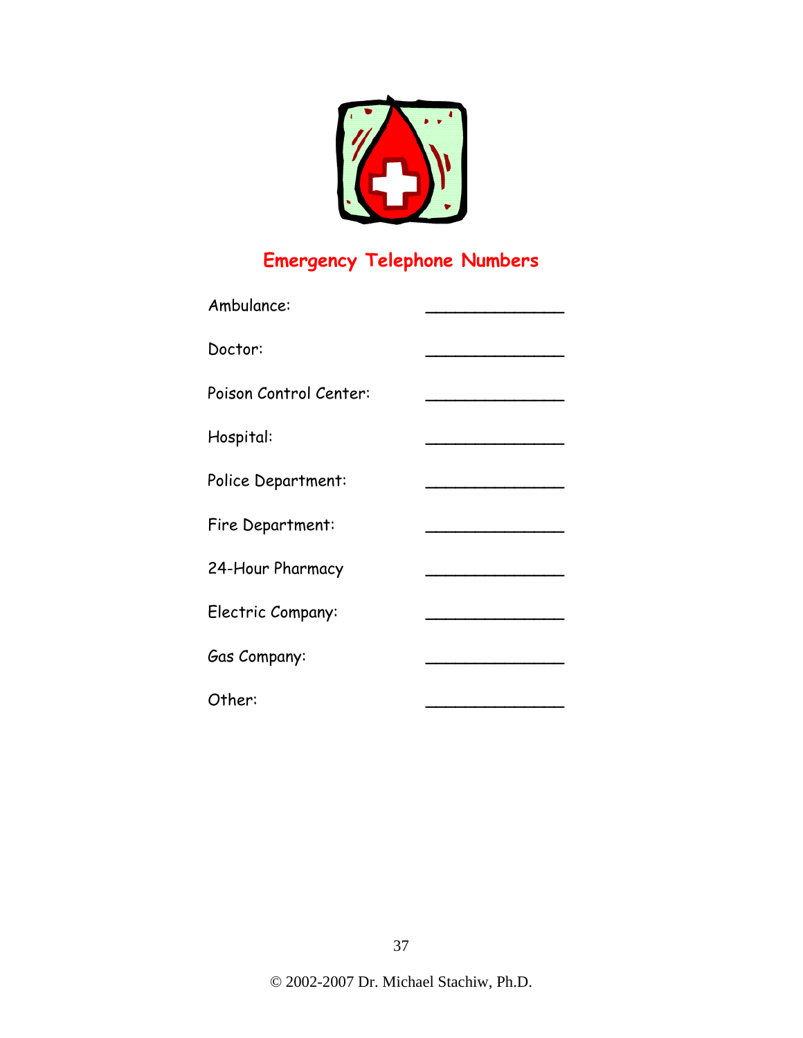

# **Emergency Telephone Numbers**

| Ambulance:             |  |
|------------------------|--|
| Doctor:                |  |
| Poison Control Center: |  |
| Hospital:              |  |
| Police Department:     |  |
| Fire Department:       |  |
| 24-Hour Pharmacy       |  |
| Electric Company:      |  |
| Gas Company:           |  |
| Other:                 |  |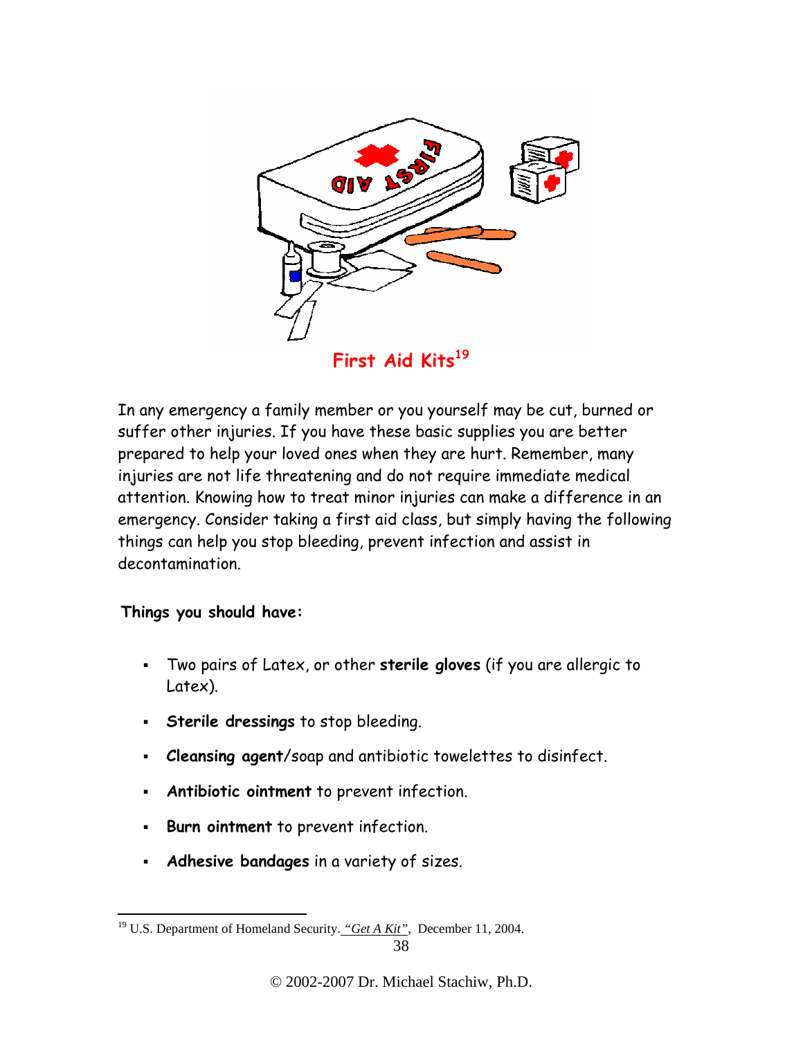

**First Aid Kits<sup>19</sup>**

In any emergency a family member or you yourself may be cut, burned or suffer other injuries. If you have these basic supplies you are better prepared to help your loved ones when they are hurt. Remember, many injuries are not life threatening and do not require immediate medical attention. Knowing how to treat minor injuries can make a difference in an emergency. Consider taking a first aid class, but simply having the following things can help you stop bleeding, prevent infection and assist in decontamination.

#### **Things you should have:**

- Two pairs of Latex, or other **sterile gloves** (if you are allergic to Latex).
- **Sterile dressings** to stop bleeding.
- **Cleansing agent**/soap and antibiotic towelettes to disinfect.
- **Antibiotic ointment** to prevent infection.
- **Burn ointment** to prevent infection.
- **Adhesive bandages** in a variety of sizes.

 $\overline{a}$ <sup>19</sup> U.S. Department of Homeland Security. "Get A Kit", December 11, 2004.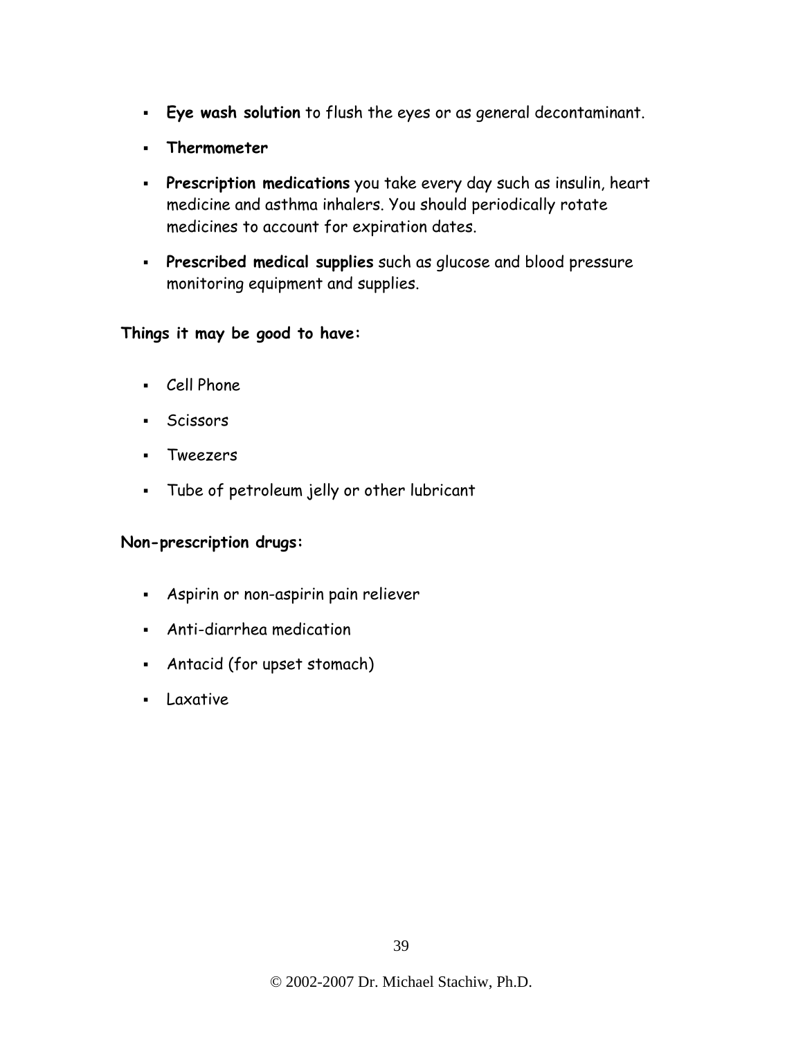- **Eye wash solution** to flush the eyes or as general decontaminant.
- **Thermometer**
- **Prescription medications** you take every day such as insulin, heart medicine and asthma inhalers. You should periodically rotate medicines to account for expiration dates.
- **Prescribed medical supplies** such as glucose and blood pressure monitoring equipment and supplies.

#### **Things it may be good to have:**

- Cell Phone
- Scissors
- Tweezers
- Tube of petroleum jelly or other lubricant

#### **Non-prescription drugs:**

- Aspirin or non-aspirin pain reliever
- Anti-diarrhea medication
- Antacid (for upset stomach)
- **Laxative**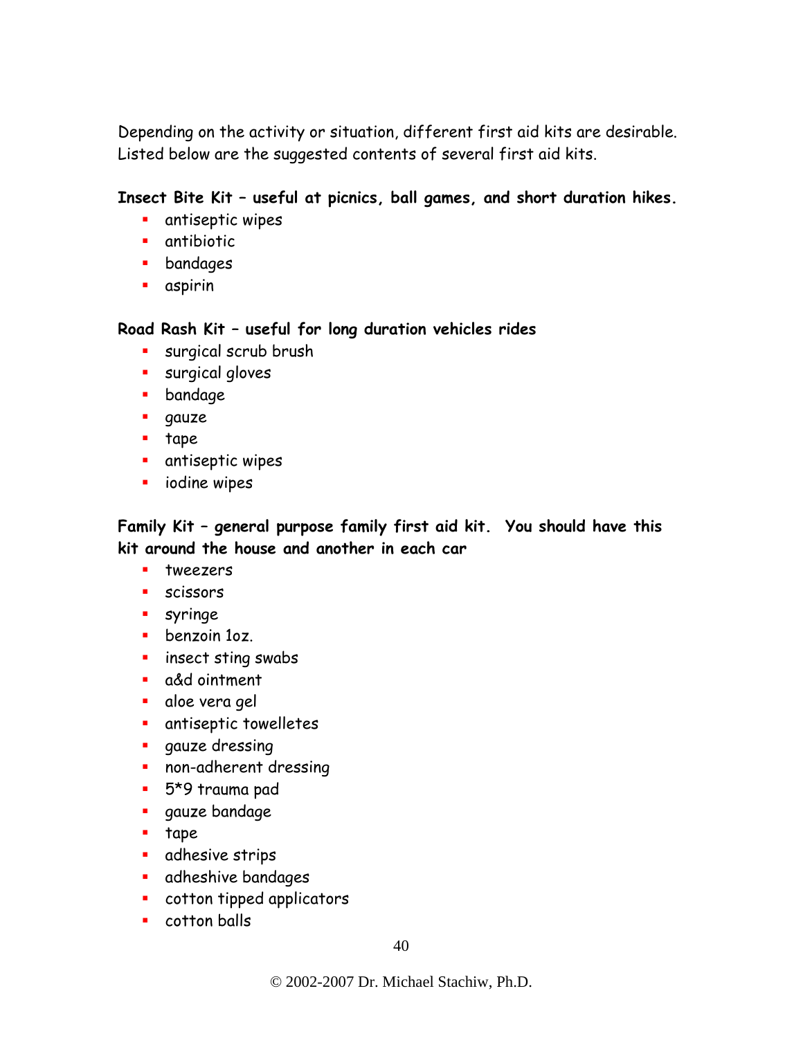Depending on the activity or situation, different first aid kits are desirable. Listed below are the suggested contents of several first aid kits.

#### **Insect Bite Kit – useful at picnics, ball games, and short duration hikes.**

- **antiseptic wipes**
- **antibiotic**
- **•** bandages
- aspirin

**Road Rash Kit – useful for long duration vehicles rides** 

- **surgical scrub brush**
- **surgical gloves**
- **•** bandage
- **gauze**
- $\blacksquare$  tape
- **•** antiseptic wipes
- **i** iodine wipes

**Family Kit – general purpose family first aid kit. You should have this kit around the house and another in each car** 

- **u** tweezers
- **scissors**
- **syringe**
- **benzoin 107.**
- **E** insect sting swabs
- a&d ointment
- aloe vera gel
- **antiseptic towelletes**
- **qauze dressing**
- **non-adherent dressing**
- 5\*9 trauma pad
- **gauze** bandage
- $\blacksquare$  tape
- **adhesive strips**
- **adheshive bandages**
- cotton tipped applicators
- **Cotton balls**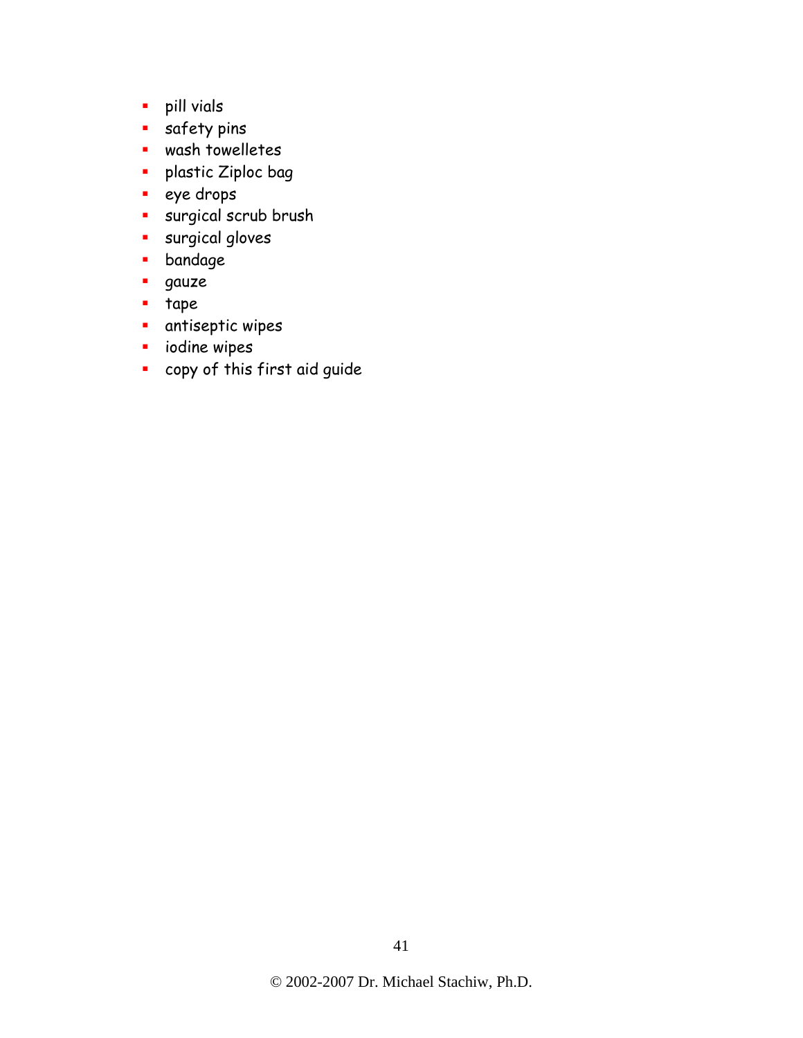- pill vials
- **safety pins**
- wash towelletes
- **•** plastic Ziploc bag
- **eye** drops
- surgical scrub brush
- **surgical gloves**
- **•** bandage
- gauze
- **tape**
- **antiseptic wipes**
- **i** iodine wipes
- copy of this first aid guide